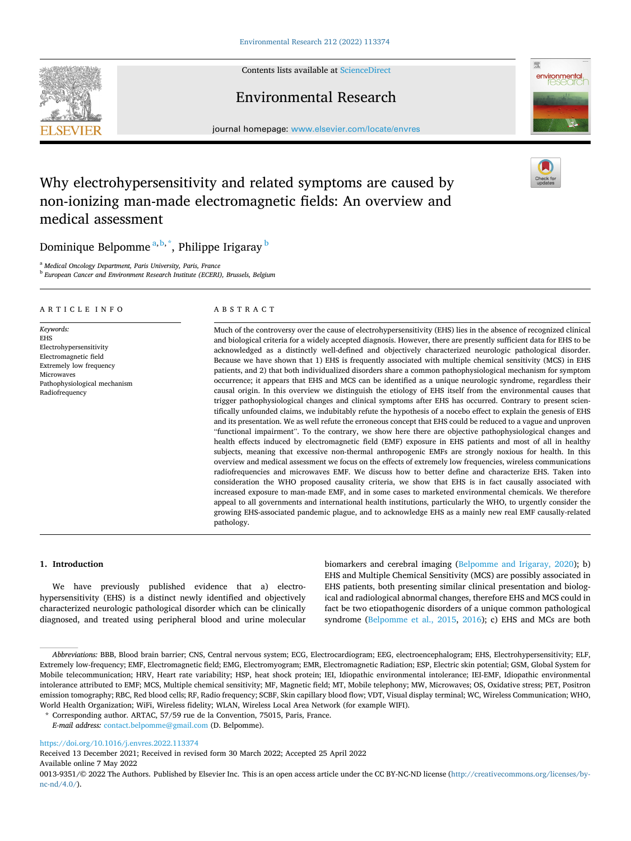Contents lists available at [ScienceDirect](www.sciencedirect.com/science/journal/00139351)

# **SEVIER**



Environmental Research

journal homepage: [www.elsevier.com/locate/envres](https://www.elsevier.com/locate/envres) 

# Why electrohypersensitivity and related symptoms are caused by non-ionizing man-made electromagnetic fields: An overview and medical assessment

Dominique Belpomme <sup>a,b,\*</sup>, Philippe Irigaray <sup>b</sup>

<sup>a</sup> *Medical Oncology Department, Paris University, Paris, France* 

<sup>b</sup> *European Cancer and Environment Research Institute (ECERI), Brussels, Belgium* 

# ARTICLE INFO

*Keywords:*  EHS Electrohypersensitivity Electromagnetic field Extremely low frequency Microwaves Pathophysiological mechanism Radiofrequency

# ABSTRACT

Much of the controversy over the cause of electrohypersensitivity (EHS) lies in the absence of recognized clinical and biological criteria for a widely accepted diagnosis. However, there are presently sufficient data for EHS to be acknowledged as a distinctly well-defined and objectively characterized neurologic pathological disorder. Because we have shown that 1) EHS is frequently associated with multiple chemical sensitivity (MCS) in EHS patients, and 2) that both individualized disorders share a common pathophysiological mechanism for symptom occurrence; it appears that EHS and MCS can be identified as a unique neurologic syndrome, regardless their causal origin. In this overview we distinguish the etiology of EHS itself from the environmental causes that trigger pathophysiological changes and clinical symptoms after EHS has occurred. Contrary to present scientifically unfounded claims, we indubitably refute the hypothesis of a nocebo effect to explain the genesis of EHS and its presentation. We as well refute the erroneous concept that EHS could be reduced to a vague and unproven "functional impairment". To the contrary, we show here there are objective pathophysiological changes and health effects induced by electromagnetic field (EMF) exposure in EHS patients and most of all in healthy subjects, meaning that excessive non-thermal anthropogenic EMFs are strongly noxious for health. In this overview and medical assessment we focus on the effects of extremely low frequencies, wireless communications radiofrequencies and microwaves EMF. We discuss how to better define and characterize EHS. Taken into consideration the WHO proposed causality criteria, we show that EHS is in fact causally associated with increased exposure to man-made EMF, and in some cases to marketed environmental chemicals. We therefore appeal to all governments and international health institutions, particularly the WHO, to urgently consider the growing EHS-associated pandemic plague, and to acknowledge EHS as a mainly new real EMF causally-related pathology.

# **1. Introduction**

We have previously published evidence that a) electrohypersensitivity (EHS) is a distinct newly identified and objectively characterized neurologic pathological disorder which can be clinically diagnosed, and treated using peripheral blood and urine molecular biomarkers and cerebral imaging [\(Belpomme and Irigaray, 2020\)](#page-10-0); b) EHS and Multiple Chemical Sensitivity (MCS) are possibly associated in EHS patients, both presenting similar clinical presentation and biological and radiological abnormal changes, therefore EHS and MCS could in fact be two etiopathogenic disorders of a unique common pathological syndrome ([Belpomme et al., 2015,](#page-10-0) [2016\)](#page-10-0); c) EHS and MCs are both

\* Corresponding author. ARTAC, 57/59 rue de la Convention, 75015, Paris, France.

*E-mail address:* [contact.belpomme@gmail.com](mailto:contact.belpomme@gmail.com) (D. Belpomme).

<https://doi.org/10.1016/j.envres.2022.113374>

Available online 7 May 2022 Received 13 December 2021; Received in revised form 30 March 2022; Accepted 25 April 2022

0013-9351/© 2022 The Authors. Published by Elsevier Inc. This is an open access article under the CC BY-NC-ND license([http://creativecommons.org/licenses/by](http://creativecommons.org/licenses/by-nc-nd/4.0/) $nc\text{-}nd/4.0/$ ).

*Abbreviations:* BBB, Blood brain barrier; CNS, Central nervous system; ECG, Electrocardiogram; EEG, electroencephalogram; EHS, Electrohypersensitivity; ELF, Extremely low-frequency; EMF, Electromagnetic field; EMG, Electromyogram; EMR, Electromagnetic Radiation; ESP, Electric skin potential; GSM, Global System for Mobile telecommunication; HRV, Heart rate variability; HSP, heat shock protein; IEI, Idiopathic environmental intolerance; IEI-EMF, Idiopathic environmental intolerance attributed to EMF; MCS, Multiple chemical sensitivity; MF, Magnetic field; MT, Mobile telephony; MW, Microwaves; OS, Oxidative stress; PET, Positron emission tomography; RBC, Red blood cells; RF, Radio frequency; SCBF, Skin capillary blood flow; VDT, Visual display terminal; WC, Wireless Communication; WHO, World Health Organization; WiFi, Wireless fidelity; WLAN, Wireless Local Area Network (for example WIFI).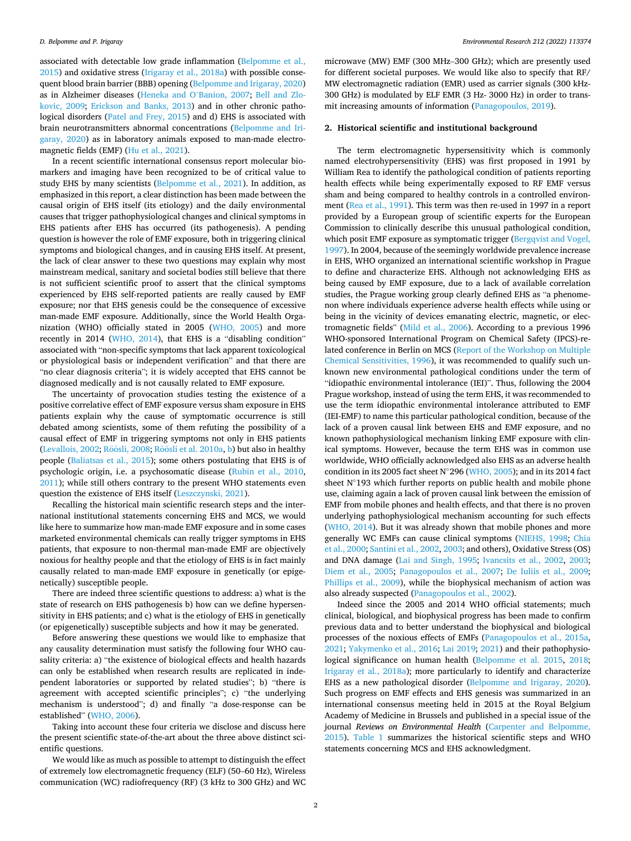associated with detectable low grade inflammation ([Belpomme et al.,](#page-10-0)  [2015\)](#page-10-0) and oxidative stress ([Irigaray et al., 2018a\)](#page-12-0) with possible consequent blood brain barrier (BBB) opening [\(Belpomme and Irigaray, 2020\)](#page-10-0) as in Alzheimer diseases ([Heneka and O](#page-12-0)'Banion, 2007; [Bell and Zlo](#page-10-0)[kovic, 2009](#page-10-0); [Erickson and Banks, 2013\)](#page-11-0) and in other chronic pathological disorders ([Patel and Frey, 2015](#page-13-0)) and d) EHS is associated with brain neurotransmitters abnormal concentrations ([Belpomme and Iri](#page-10-0)[garay, 2020\)](#page-10-0) as in laboratory animals exposed to man-made electromagnetic fields (EMF) ([Hu et al., 2021](#page-12-0)).

In a recent scientific international consensus report molecular biomarkers and imaging have been recognized to be of critical value to study EHS by many scientists [\(Belpomme et al., 2021](#page-10-0)). In addition, as emphasized in this report, a clear distinction has been made between the causal origin of EHS itself (its etiology) and the daily environmental causes that trigger pathophysiological changes and clinical symptoms in EHS patients after EHS has occurred (its pathogenesis). A pending question is however the role of EMF exposure, both in triggering clinical symptoms and biological changes, and in causing EHS itself. At present, the lack of clear answer to these two questions may explain why most mainstream medical, sanitary and societal bodies still believe that there is not sufficient scientific proof to assert that the clinical symptoms experienced by EHS self-reported patients are really caused by EMF exposure; nor that EHS genesis could be the consequence of excessive man-made EMF exposure. Additionally, since the World Health Organization (WHO) officially stated in 2005 ([WHO, 2005\)](#page-14-0) and more recently in 2014 ([WHO, 2014\)](#page-14-0), that EHS is a "disabling condition" associated with "non-specific symptoms that lack apparent toxicological or physiological basis or independent verification" and that there are "no clear diagnosis criteria"; it is widely accepted that EHS cannot be diagnosed medically and is not causally related to EMF exposure.

The uncertainty of provocation studies testing the existence of a positive correlative effect of EMF exposure versus sham exposure in EHS patients explain why the cause of symptomatic occurrence is still debated among scientists, some of them refuting the possibility of a causal effect of EMF in triggering symptoms not only in EHS patients ([Levallois, 2002;](#page-12-0) Röösli, [2008;](#page-13-0) Röösli [et al. 2010a, b](#page-13-0)) but also in healthy people [\(Baliatsas et al., 2015](#page-10-0)); some others postulating that EHS is of psychologic origin, i.e. a psychosomatic disease ([Rubin et al., 2010](#page-13-0), [2011\)](#page-13-0); while still others contrary to the present WHO statements even question the existence of EHS itself [\(Leszczynski, 2021\)](#page-12-0).

Recalling the historical main scientific research steps and the international institutional statements concerning EHS and MCS, we would like here to summarize how man-made EMF exposure and in some cases marketed environmental chemicals can really trigger symptoms in EHS patients, that exposure to non-thermal man-made EMF are objectively noxious for healthy people and that the etiology of EHS is in fact mainly causally related to man-made EMF exposure in genetically (or epigenetically) susceptible people.

There are indeed three scientific questions to address: a) what is the state of research on EHS pathogenesis b) how can we define hypersensitivity in EHS patients; and c) what is the etiology of EHS in genetically (or epigenetically) susceptible subjects and how it may be generated.

Before answering these questions we would like to emphasize that any causality determination must satisfy the following four WHO causality criteria: a) "the existence of biological effects and health hazards can only be established when research results are replicated in independent laboratories or supported by related studies"; b) "there is agreement with accepted scientific principles"; c) "the underlying mechanism is understood"; d) and finally "a dose-response can be established" ([WHO, 2006\)](#page-14-0).

Taking into account these four criteria we disclose and discuss here the present scientific state-of-the-art about the three above distinct scientific questions.

We would like as much as possible to attempt to distinguish the effect of extremely low electromagnetic frequency (ELF) (50–60 Hz), Wireless communication (WC) radiofrequency (RF) (3 kHz to 300 GHz) and WC microwave (MW) EMF (300 MHz–300 GHz); which are presently used for different societal purposes. We would like also to specify that RF/ MW electromagnetic radiation (EMR) used as carrier signals (300 kHz-300 GHz) is modulated by ELF EMR (3 Hz- 3000 Hz) in order to transmit increasing amounts of information [\(Panagopoulos, 2019\)](#page-13-0).

# **2. Historical scientific and institutional background**

The term electromagnetic hypersensitivity which is commonly named electrohypersensitivity (EHS) was first proposed in 1991 by William Rea to identify the pathological condition of patients reporting health effects while being experimentally exposed to RF EMF versus sham and being compared to healthy controls in a controlled environment ([Rea et al., 1991](#page-13-0)). This term was then re-used in 1997 in a report provided by a European group of scientific experts for the European Commission to clinically describe this unusual pathological condition, which posit EMF exposure as symptomatic trigger (Bergqvist and Vogel, [1997\)](#page-10-0). In 2004, because of the seemingly worldwide prevalence increase in EHS, WHO organized an international scientific workshop in Prague to define and characterize EHS. Although not acknowledging EHS as being caused by EMF exposure, due to a lack of available correlation studies, the Prague working group clearly defined EHS as "a phenomenon where individuals experience adverse health effects while using or being in the vicinity of devices emanating electric, magnetic, or electromagnetic fields" ([Mild et al., 2006\)](#page-13-0). According to a previous 1996 WHO-sponsored International Program on Chemical Safety (IPCS)-related conference in Berlin on MCS [\(Report of the Workshop on Multiple](#page-13-0)  [Chemical Sensitivities, 1996\)](#page-13-0), it was recommended to qualify such unknown new environmental pathological conditions under the term of "idiopathic environmental intolerance (IEI)". Thus, following the 2004 Prague workshop, instead of using the term EHS, it was recommended to use the term idiopathic environmental intolerance attributed to EMF (IEI-EMF) to name this particular pathological condition, because of the lack of a proven causal link between EHS and EMF exposure, and no known pathophysiological mechanism linking EMF exposure with clinical symptoms. However, because the term EHS was in common use worldwide, WHO officially acknowledged also EHS as an adverse health condition in its 2005 fact sheet N◦296 ([WHO, 2005](#page-14-0)); and in its 2014 fact sheet N◦193 which further reports on public health and mobile phone use, claiming again a lack of proven causal link between the emission of EMF from mobile phones and health effects, and that there is no proven underlying pathophysiological mechanism accounting for such effects ([WHO, 2014\)](#page-14-0). But it was already shown that mobile phones and more generally WC EMFs can cause clinical symptoms ([NIEHS, 1998](#page-13-0); [Chia](#page-11-0)  [et al., 2000](#page-11-0); [Santini et al., 2002, 2003;](#page-13-0) and others), Oxidative Stress (OS) and DNA damage ([Lai and Singh, 1995](#page-12-0); [Ivancsits et al., 2002,](#page-12-0) [2003](#page-12-0); [Diem et al., 2005;](#page-11-0) [Panagopoulos et al., 2007;](#page-13-0) [De Iuliis et al., 2009](#page-11-0); [Phillips et al., 2009\)](#page-13-0), while the biophysical mechanism of action was also already suspected [\(Panagopoulos et al., 2002\)](#page-13-0).

Indeed since the 2005 and 2014 WHO official statements; much clinical, biological, and biophysical progress has been made to confirm previous data and to better understand the biophysical and biological processes of the noxious effects of EMFs ([Panagopoulos et al., 2015a](#page-13-0), [2021;](#page-13-0) [Yakymenko et al., 2016](#page-14-0); [Lai 2019](#page-12-0); [2021\)](#page-12-0) and their pathophysiological significance on human health [\(Belpomme et al. 2015](#page-10-0), [2018](#page-10-0); [Irigaray et al., 2018a\)](#page-12-0); more particularly to identify and characterize EHS as a new pathological disorder ([Belpomme and Irigaray, 2020](#page-10-0)). Such progress on EMF effects and EHS genesis was summarized in an international consensus meeting held in 2015 at the Royal Belgium Academy of Medicine in Brussels and published in a special issue of the journal *Reviews on Environmental Health* ([Carpenter and Belpomme,](#page-11-0)  [2015\)](#page-11-0). [Table 1](#page-2-0) summarizes the historical scientific steps and WHO statements concerning MCS and EHS acknowledgment.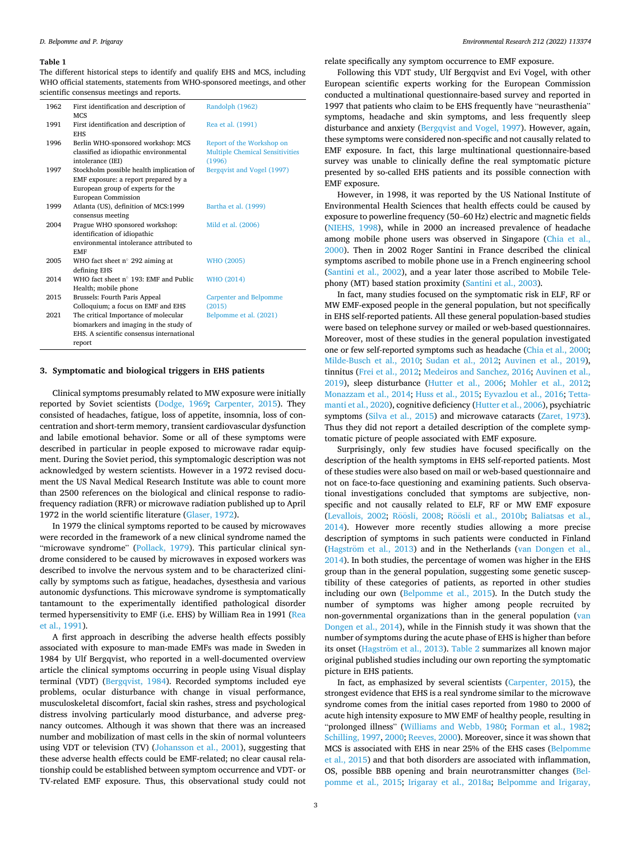<span id="page-2-0"></span>The different historical steps to identify and qualify EHS and MCS, including WHO official statements, statements from WHO-sponsored meetings, and other scientific consensus meetings and reports.

| 1962 | First identification and description of                  | Randolph (1962)                        |
|------|----------------------------------------------------------|----------------------------------------|
| 1991 | <b>MCS</b><br>First identification and description of    | Rea et al. (1991)                      |
|      | <b>EHS</b>                                               |                                        |
| 1996 | Berlin WHO-sponsored workshop: MCS                       | Report of the Workshop on              |
|      | classified as idiopathic environmental                   | <b>Multiple Chemical Sensitivities</b> |
|      | intolerance (IEI)                                        | (1996)                                 |
| 1997 | Stockholm possible health implication of                 | Bergqvist and Vogel (1997)             |
|      | EMF exposure: a report prepared by a                     |                                        |
|      | European group of experts for the                        |                                        |
|      | European Commission                                      |                                        |
| 1999 | Atlanta (US), definition of MCS:1999                     | Bartha et al. (1999)                   |
|      | consensus meeting                                        |                                        |
| 2004 | Prague WHO sponsored workshop:                           | Mild et al. (2006)                     |
|      | identification of idiopathic                             |                                        |
|      | environmental intolerance attributed to                  |                                        |
|      | <b>EMF</b>                                               |                                        |
| 2005 | WHO fact sheet $n^{\circ}$ 292 aiming at<br>defining EHS | WHO (2005)                             |
| 2014 | WHO fact sheet n° 193: EMF and Public                    | WHO (2014)                             |
|      | Health; mobile phone                                     |                                        |
| 2015 | Brussels: Fourth Paris Appeal                            | <b>Carpenter and Belpomme</b>          |
|      | Colloquium; a focus on EMF and EHS                       | (2015)                                 |
| 2021 | The critical Importance of molecular                     | Belpomme et al. (2021)                 |
|      | biomarkers and imaging in the study of                   |                                        |
|      | EHS. A scientific consensus international                |                                        |
|      | report                                                   |                                        |
|      |                                                          |                                        |

#### **3. Symptomatic and biological triggers in EHS patients**

Clinical symptoms presumably related to MW exposure were initially reported by Soviet scientists ([Dodge, 1969](#page-11-0); [Carpenter, 2015\)](#page-11-0). They consisted of headaches, fatigue, loss of appetite, insomnia, loss of concentration and short-term memory, transient cardiovascular dysfunction and labile emotional behavior. Some or all of these symptoms were described in particular in people exposed to microwave radar equipment. During the Soviet period, this symptomalogic description was not acknowledged by western scientists. However in a 1972 revised document the US Naval Medical Research Institute was able to count more than 2500 references on the biological and clinical response to radiofrequency radiation (RFR) or microwave radiation published up to April 1972 in the world scientific literature [\(Glaser, 1972\)](#page-11-0).

In 1979 the clinical symptoms reported to be caused by microwaves were recorded in the framework of a new clinical syndrome named the "microwave syndrome" ([Pollack, 1979](#page-13-0)). This particular clinical syndrome considered to be caused by microwaves in exposed workers was described to involve the nervous system and to be characterized clinically by symptoms such as fatigue, headaches, dysesthesia and various autonomic dysfunctions. This microwave syndrome is symptomatically tantamount to the experimentally identified pathological disorder termed hypersensitivity to EMF (i.e. EHS) by William Rea in 1991 ([Rea](#page-13-0)  [et al., 1991\)](#page-13-0).

A first approach in describing the adverse health effects possibly associated with exposure to man-made EMFs was made in Sweden in 1984 by Ulf Bergqvist, who reported in a well-documented overview article the clinical symptoms occurring in people using Visual display terminal (VDT) ([Bergqvist, 1984\)](#page-10-0). Recorded symptoms included eye problems, ocular disturbance with change in visual performance, musculoskeletal discomfort, facial skin rashes, stress and psychological distress involving particularly mood disturbance, and adverse pregnancy outcomes. Although it was shown that there was an increased number and mobilization of mast cells in the skin of normal volunteers using VDT or television (TV) [\(Johansson et al., 2001\)](#page-12-0), suggesting that these adverse health effects could be EMF-related; no clear causal relationship could be established between symptom occurrence and VDT- or TV-related EMF exposure. Thus, this observational study could not

relate specifically any symptom occurrence to EMF exposure.

Following this VDT study, Ulf Bergqvist and Evi Vogel, with other European scientific experts working for the European Commission conducted a multinational questionnaire-based survey and reported in 1997 that patients who claim to be EHS frequently have "neurasthenia" symptoms, headache and skin symptoms, and less frequently sleep disturbance and anxiety ([Bergqvist and Vogel, 1997\)](#page-10-0). However, again, these symptoms were considered non-specific and not causally related to EMF exposure. In fact, this large multinational questionnaire-based survey was unable to clinically define the real symptomatic picture presented by so-called EHS patients and its possible connection with EMF exposure.

However, in 1998, it was reported by the US National Institute of Environmental Health Sciences that health effects could be caused by exposure to powerline frequency (50–60 Hz) electric and magnetic fields ([NIEHS, 1998\)](#page-13-0), while in 2000 an increased prevalence of headache among mobile phone users was observed in Singapore [\(Chia et al.,](#page-11-0)  [2000\)](#page-11-0). Then in 2002 Roger Santini in France described the clinical symptoms ascribed to mobile phone use in a French engineering school ([Santini et al., 2002](#page-13-0)), and a year later those ascribed to Mobile Telephony (MT) based station proximity ([Santini et al., 2003](#page-13-0)).

In fact, many studies focused on the symptomatic risk in ELF, RF or MW EMF-exposed people in the general population, but not specifically in EHS self-reported patients. All these general population-based studies were based on telephone survey or mailed or web-based questionnaires. Moreover, most of these studies in the general population investigated one or few self-reported symptoms such as headache [\(Chia et al., 2000](#page-11-0); [Milde-Busch et al., 2010;](#page-13-0) [Sudan et al., 2012;](#page-14-0) [Auvinen et al., 2019](#page-10-0)), tinnitus ([Frei et al., 2012](#page-11-0); [Medeiros and Sanchez, 2016](#page-13-0); [Auvinen et al.,](#page-10-0)  [2019\)](#page-10-0), sleep disturbance [\(Hutter et al., 2006](#page-12-0); [Mohler et al., 2012](#page-13-0); [Monazzam et al., 2014;](#page-13-0) [Huss et al., 2015](#page-12-0); [Eyvazlou et al., 2016](#page-11-0); [Tetta](#page-14-0)[manti et al., 2020](#page-14-0)), cognitive deficiency ([Hutter et al., 2006](#page-12-0)), psychiatric symptoms [\(Silva et al., 2015\)](#page-14-0) and microwave cataracts ([Zaret, 1973](#page-14-0)). Thus they did not report a detailed description of the complete symptomatic picture of people associated with EMF exposure.

Surprisingly, only few studies have focused specifically on the description of the health symptoms in EHS self-reported patients. Most of these studies were also based on mail or web-based questionnaire and not on face-to-face questioning and examining patients. Such observational investigations concluded that symptoms are subjective, nonspecific and not causally related to ELF, RF or MW EMF exposure ([Levallois, 2002;](#page-12-0) Röösli, [2008;](#page-13-0) Röösli [et al., 2010b;](#page-13-0) Baliatsas et al., [2014\)](#page-10-0). However more recently studies allowing a more precise description of symptoms in such patients were conducted in Finland (Hagström [et al., 2013\)](#page-11-0) and in the Netherlands (van Dongen et al., [2014\)](#page-14-0). In both studies, the percentage of women was higher in the EHS group than in the general population, suggesting some genetic susceptibility of these categories of patients, as reported in other studies including our own ([Belpomme et al., 2015](#page-10-0)). In the Dutch study the number of symptoms was higher among people recruited by non-governmental organizations than in the general population ([van](#page-14-0)  [Dongen et al., 2014\)](#page-14-0), while in the Finnish study it was shown that the number of symptoms during the acute phase of EHS is higher than before its onset (Hagström [et al., 2013\)](#page-11-0). [Table 2](#page-3-0) summarizes all known major original published studies including our own reporting the symptomatic picture in EHS patients.

In fact, as emphasized by several scientists [\(Carpenter, 2015](#page-11-0)), the strongest evidence that EHS is a real syndrome similar to the microwave syndrome comes from the initial cases reported from 1980 to 2000 of acute high intensity exposure to MW EMF of healthy people, resulting in "prolonged illness" [\(Williams and Webb, 1980](#page-14-0); [Forman et al., 1982](#page-11-0); [Schilling, 1997](#page-13-0), [2000](#page-13-0); [Reeves, 2000\)](#page-13-0). Moreover, since it was shown that MCS is associated with EHS in near 25% of the EHS cases [\(Belpomme](#page-10-0)  [et al., 2015\)](#page-10-0) and that both disorders are associated with inflammation, OS, possible BBB opening and brain neurotransmitter changes [\(Bel](#page-10-0)[pomme et al., 2015](#page-10-0); [Irigaray et al., 2018a;](#page-12-0) [Belpomme and Irigaray,](#page-10-0)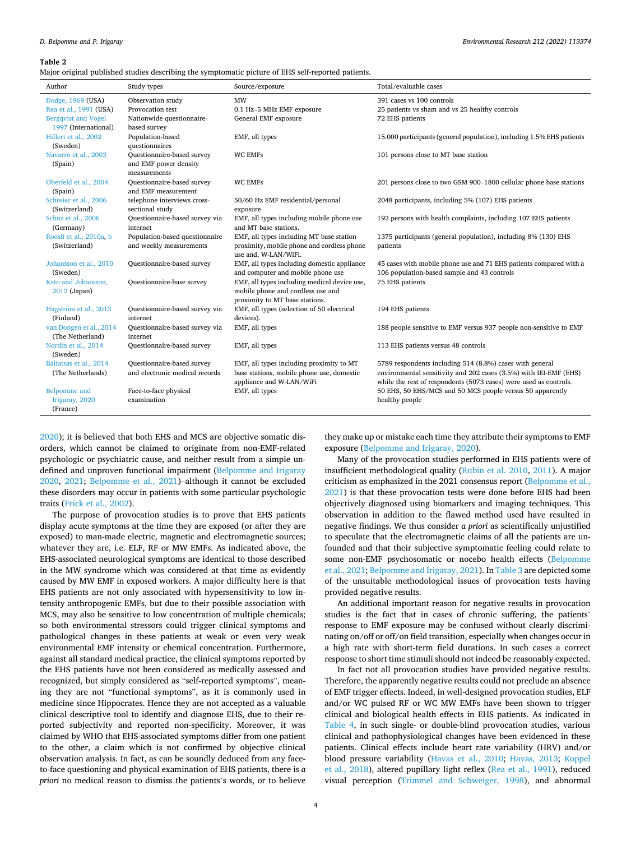#### <span id="page-3-0"></span>**Table 2**

Major original published studies describing the symptomatic picture of EHS self-reported patients.

| Author                          | Study types                                | Source/exposure                                                    | Total/evaluable cases                                                 |
|---------------------------------|--------------------------------------------|--------------------------------------------------------------------|-----------------------------------------------------------------------|
| Dodge, 1969 (USA)               | Observation study                          | <b>MW</b>                                                          | 391 cases vs 100 controls                                             |
| Rea et al., 1991 (USA)          | Provocation test                           | 0.1 Hz-5 MHz EMF exposure                                          | 25 patients vs sham and vs 25 healthy controls                        |
| <b>Bergqvist and Vogel</b>      | Nationwide questionnaire-                  | General EMF exposure                                               | 72 EHS patients                                                       |
| 1997 (International)            | based survey                               |                                                                    |                                                                       |
| Hillert et al., 2002            | Population-based                           | EMF, all types                                                     | 15.000 participants (general population), including 1.5% EHS patients |
| (Sweden)                        | questionnaires                             |                                                                    |                                                                       |
| Navarro et al., 2003            | Questionnaire-based survey                 | <b>WC EMFs</b>                                                     | 101 persons close to MT base station                                  |
| (Spain)                         | and EMF power density                      |                                                                    |                                                                       |
|                                 | measurements                               |                                                                    |                                                                       |
| Oberfeld et al., 2004           | Questionnaire-based survey                 | <b>WC EMFs</b>                                                     | 201 persons close to two GSM 900-1800 cellular phone base stations    |
| (Spain)                         | and EMF measurement                        |                                                                    |                                                                       |
| Schreier et al., 2006           | telephone interviews cross-                | 50/60 Hz EMF residential/personal                                  | 2048 participants, including 5% (107) EHS patients                    |
| (Switzerland)                   | sectional study                            | exposure                                                           |                                                                       |
| Schüz et al., 2006<br>(Germany) | Questionnaire-based survey via<br>internet | EMF, all types including mobile phone use<br>and MT base stations. | 192 persons with health complaints, including 107 EHS patients        |
| Röösli et al., 2010a, b         | Population-based questionnaire             | EMF, all types including MT base station                           | 1375 participants (general population), including 8% (130) EHS        |
| (Switzerland)                   | and weekly measurements                    | proximity, mobile phone and cordless phone                         | patients                                                              |
|                                 |                                            | use and, W-LAN/WiFi.                                               |                                                                       |
| Johansson et al., 2010          | Questionnaire-based survey                 | EMF, all types including domestic appliance                        | 45 cases with mobile phone use and 71 EHS patients compared with a    |
| (Sweden)                        |                                            | and computer and mobile phone use                                  | 106 population-based sample and 43 controls                           |
| Kato and Johansson,             | Questionnaire-base survey                  | EMF, all types including medical device use,                       | 75 EHS patients                                                       |
| 2012 (Japan)                    |                                            | mobile phone and cordless use and                                  |                                                                       |
|                                 |                                            | proximity to MT base stations.                                     |                                                                       |
| Hagström et al., 2013           | Questionnaire-based survey via             | EMF, all types (selection of 50 electrical                         | 194 EHS patients                                                      |
| (Finland)                       | internet                                   | devices).                                                          |                                                                       |
| van Dongen et al., 2014         | Questionnaire-based survey via             | EMF, all types                                                     | 188 people sensitive to EMF versus 937 people non-sensitive to EMF    |
| (The Netherland)                | internet                                   |                                                                    |                                                                       |
| Nordin et al., 2014             | Questionnaire-based survey                 | EMF, all types                                                     | 113 EHS patients versus 48 controls                                   |
| (Sweden)                        |                                            |                                                                    |                                                                       |
| Baliatsas et al., 2014          | Questionnaire-based survey                 | EMF, all types including proximity to MT                           | 5789 respondents including 514 (8.8%) cases with general              |
| (The Netherlands)               | and electronic medical records             | base stations, mobile phone use, domestic                          | environmental sensitivity and 202 cases (3.5%) with IEI-EMF (EHS)     |
|                                 |                                            | appliance and W-LAN/WiFi                                           | while the rest of respondents (5073 cases) were used as controls.     |
| Belpomme and                    | Face-to-face physical                      | EMF, all types                                                     | 50 EHS, 50 EHS/MCS and 50 MCS people versus 50 apparently             |
| Irigaray, 2020                  | examination                                |                                                                    | healthy people                                                        |
| (France)                        |                                            |                                                                    |                                                                       |

[2020\)](#page-10-0); it is believed that both EHS and MCS are objective somatic disorders, which cannot be claimed to originate from non-EMF-related psychologic or psychiatric cause, and neither result from a simple undefined and unproven functional impairment ([Belpomme and Irigaray](#page-10-0)  [2020,](#page-10-0) [2021](#page-10-0); [Belpomme et al., 2021\)](#page-10-0)–although it cannot be excluded these disorders may occur in patients with some particular psychologic traits [\(Frick et al., 2002\)](#page-11-0).

The purpose of provocation studies is to prove that EHS patients display acute symptoms at the time they are exposed (or after they are exposed) to man-made electric, magnetic and electromagnetic sources; whatever they are, i.e. ELF, RF or MW EMFs. As indicated above, the EHS-associated neurological symptoms are identical to those described in the MW syndrome which was considered at that time as evidently caused by MW EMF in exposed workers. A major difficulty here is that EHS patients are not only associated with hypersensitivity to low intensity anthropogenic EMFs, but due to their possible association with MCS, may also be sensitive to low concentration of multiple chemicals; so both environmental stressors could trigger clinical symptoms and pathological changes in these patients at weak or even very weak environmental EMF intensity or chemical concentration. Furthermore, against all standard medical practice, the clinical symptoms reported by the EHS patients have not been considered as medically assessed and recognized, but simply considered as "self-reported symptoms", meaning they are not "functional symptoms", as it is commonly used in medicine since Hippocrates. Hence they are not accepted as a valuable clinical descriptive tool to identify and diagnose EHS, due to their reported subjectivity and reported non-specificity. Moreover, it was claimed by WHO that EHS-associated symptoms differ from one patient to the other, a claim which is not confirmed by objective clinical observation analysis. In fact, as can be soundly deduced from any faceto-face questioning and physical examination of EHS patients, there is *a priori* no medical reason to dismiss the patients's words, or to believe

they make up or mistake each time they attribute their symptoms to EMF exposure ([Belpomme and Irigaray, 2020](#page-10-0)).

Many of the provocation studies performed in EHS patients were of insufficient methodological quality [\(Rubin et al. 2010](#page-13-0), [2011](#page-13-0)). A major criticism as emphasized in the 2021 consensus report ([Belpomme et al.,](#page-10-0)  [2021\)](#page-10-0) is that these provocation tests were done before EHS had been objectively diagnosed using biomarkers and imaging techniques. This observation in addition to the flawed method used have resulted in negative findings. We thus consider *a priori* as scientifically unjustified to speculate that the electromagnetic claims of all the patients are unfounded and that their subjective symptomatic feeling could relate to some non-EMF psychosomatic or nocebo health effects [\(Belpomme](#page-10-0)  [et al., 2021](#page-10-0); [Belpomme and Irigaray, 2021](#page-10-0)). In [Table 3](#page-4-0) are depicted some of the unsuitable methodological issues of provocation tests having provided negative results.

An additional important reason for negative results in provocation studies is the fact that in cases of chronic suffering, the patients' response to EMF exposure may be confused without clearly discriminating on/off or off/on field transition, especially when changes occur in a high rate with short-term field durations. In such cases a correct response to short time stimuli should not indeed be reasonably expected.

In fact not all provocation studies have provided negative results. Therefore, the apparently negative results could not preclude an absence of EMF trigger effects. Indeed, in well-designed provocation studies, ELF and/or WC pulsed RF or WC MW EMFs have been shown to trigger clinical and biological health effects in EHS patients. As indicated in [Table 4](#page-4-0), in such single- or double-blind provocation studies, various clinical and pathophysiological changes have been evidenced in these patients. Clinical effects include heart rate variability (HRV) and/or blood pressure variability ([Havas et al., 2010](#page-12-0); [Havas, 2013;](#page-12-0) [Koppel](#page-12-0)  [et al., 2018](#page-12-0)), altered pupillary light reflex ([Rea et al., 1991](#page-13-0)), reduced visual perception ([Trimmel and Schweiger, 1998\)](#page-14-0), and abnormal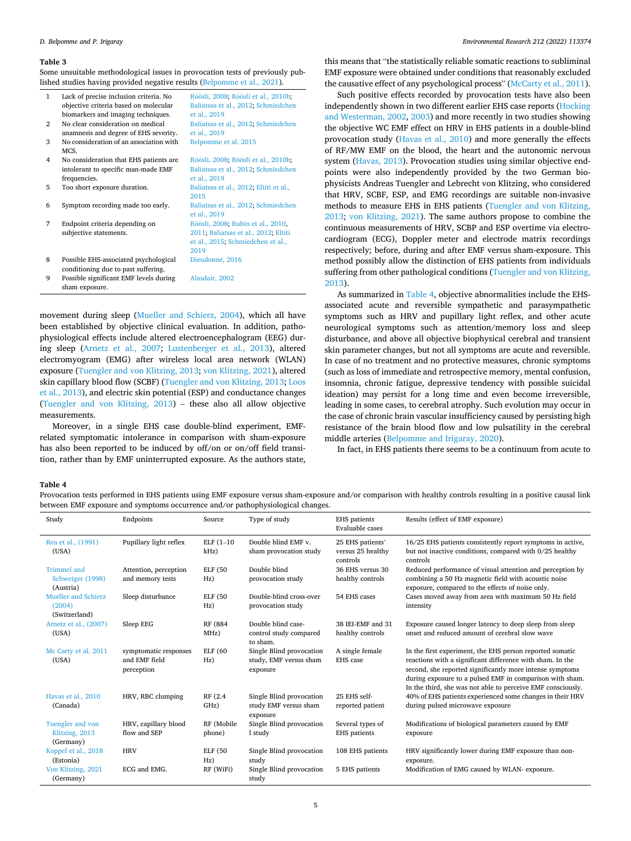<span id="page-4-0"></span>

| Some unsuitable methodological issues in provocation tests of previously pub- |
|-------------------------------------------------------------------------------|
| lished studies having provided negative results (Belpomme et al., 2021).      |

| $\mathbf{1}$ | Lack of precise inclusion criteria. No<br>objective criteria based on molecular<br>biomarkers and imaging techniques. | Röösli, 2008; Röösli et al., 2010b;<br>Baliatsas et al., 2012; Schmiedchen<br>et al., 2019 |
|--------------|-----------------------------------------------------------------------------------------------------------------------|--------------------------------------------------------------------------------------------|
| 2            | No clear consideration on medical                                                                                     | Baliatsas et al., 2012; Schmiedchen<br>et al., 2019                                        |
| 3            | anamnesis and degree of EHS severity.<br>No consideration of an association with                                      | Belpomme et al. 2015                                                                       |
|              | MCS.                                                                                                                  |                                                                                            |
| 4            | No consideration that EHS patients are                                                                                | Röösli, 2008; Röösli et al., 2010b;                                                        |
|              | intolerant to specific man-made EMF                                                                                   | Baliatsas et al., 2012; Schmiedchen                                                        |
|              | frequencies.                                                                                                          | et al., 2019                                                                               |
| 5            | Too short exposure duration.                                                                                          | Baliatsas et al., 2012; Eltiti et al.,                                                     |
|              |                                                                                                                       | 2015                                                                                       |
| 6            | Symptom recording made too early.                                                                                     | Baliatsas et al., 2012; Schmiedchen<br>et al., 2019                                        |
| 7            | Endpoint criteria depending on                                                                                        | Röösli, 2008; Rubin et al., 2010,                                                          |
|              | subjective statements.                                                                                                | 2011; Baliatsas et al., 2012; Eltiti<br>et al., 2015; Schmiedchen et al.,<br>2019          |
| 8            | Possible EHS-associated psychological                                                                                 | Dieudonné, 2016                                                                            |
|              | conditioning due to past suffering.                                                                                   |                                                                                            |
| 9            | Possible significant EMF levels during<br>sham exposure.                                                              | Alasdair, 2002                                                                             |

movement during sleep [\(Mueller and Schierz, 2004\)](#page-13-0), which all have been established by objective clinical evaluation. In addition, pathophysiological effects include altered electroencephalogram (EEG) during sleep ([Arnetz et al., 2007;](#page-10-0) [Lustenberger et al., 2013](#page-12-0)), altered electromyogram (EMG) after wireless local area network (WLAN) exposure [\(Tuengler and von Klitzing, 2013; von Klitzing, 2021\)](#page-14-0), altered skin capillary blood flow (SCBF) [\(Tuengler and von Klitzing, 2013](#page-14-0); [Loos](#page-12-0)  [et al., 2013](#page-12-0)), and electric skin potential (ESP) and conductance changes ([Tuengler and von Klitzing, 2013](#page-14-0)) – these also all allow objective measurements.

Moreover, in a single EHS case double-blind experiment, EMFrelated symptomatic intolerance in comparison with sham-exposure has also been reported to be induced by off/on or on/off field transition, rather than by EMF uninterrupted exposure. As the authors state,

this means that "the statistically reliable somatic reactions to subliminal EMF exposure were obtained under conditions that reasonably excluded the causative effect of any psychological process" [\(McCarty et al., 2011](#page-13-0)).

Such positive effects recorded by provocation tests have also been independently shown in two different earlier EHS case reports [\(Hocking](#page-12-0)  [and Westerman, 2002, 2003](#page-12-0)) and more recently in two studies showing the objective WC EMF effect on HRV in EHS patients in a double-blind provocation study ([Havas et al., 2010](#page-12-0)) and more generally the effects of RF/MW EMF on the blood, the heart and the autonomic nervous system [\(Havas, 2013](#page-12-0)). Provocation studies using similar objective endpoints were also independently provided by the two German biophysicists Andreas Tuengler and Lebrecht von Klitzing, who considered that HRV, SCBF, ESP, and EMG recordings are suitable non-invasive methods to measure EHS in EHS patients ([Tuengler and von Klitzing,](#page-14-0)  [2013;](#page-14-0) [von Klitzing, 2021\)](#page-14-0). The same authors propose to combine the continuous measurements of HRV, SCBP and ESP overtime via electrocardiogram (ECG), Doppler meter and electrode matrix recordings respectively; before, during and after EMF versus sham-exposure. This method possibly allow the distinction of EHS patients from individuals suffering from other pathological conditions [\(Tuengler and von Klitzing,](#page-14-0)  [2013\)](#page-14-0).

As summarized in Table 4, objective abnormalities include the EHSassociated acute and reversible sympathetic and parasympathetic symptoms such as HRV and pupillary light reflex, and other acute neurological symptoms such as attention/memory loss and sleep disturbance, and above all objective biophysical cerebral and transient skin parameter changes, but not all symptoms are acute and reversible. In case of no treatment and no protective measures, chronic symptoms (such as loss of immediate and retrospective memory, mental confusion, insomnia, chronic fatigue, depressive tendency with possible suicidal ideation) may persist for a long time and even become irreversible, leading in some cases, to cerebral atrophy. Such evolution may occur in the case of chronic brain vascular insufficiency caused by persisting high resistance of the brain blood flow and low pulsatility in the cerebral middle arteries [\(Belpomme and Irigaray, 2020\)](#page-10-0).

In fact, in EHS patients there seems to be a continuum from acute to

### **Table 4**

Provocation tests performed in EHS patients using EMF exposure versus sham-exposure and/or comparison with healthy controls resulting in a positive causal link between EMF exposure and symptoms occurrence and/or pathophysiological changes.

| Study                                                 | Endpoints                                            | Source                | Type of study                                                  | EHS patients<br>Evaluable cases                   | Results (effect of EMF exposure)                                                                                                                                                                                                                                                                             |
|-------------------------------------------------------|------------------------------------------------------|-----------------------|----------------------------------------------------------------|---------------------------------------------------|--------------------------------------------------------------------------------------------------------------------------------------------------------------------------------------------------------------------------------------------------------------------------------------------------------------|
| Rea et al., (1991)<br>(USA)                           | Pupillary light reflex                               | $ELF(1-10$<br>$kHz$ ) | Double blind EMF v.<br>sham provocation study                  | 25 EHS patients'<br>versus 25 healthy<br>controls | 16/25 EHS patients consistently report symptoms in active,<br>but not inactive conditions, compared with 0/25 healthy<br>controls                                                                                                                                                                            |
| <b>Trimmel</b> and<br>Schweiger (1998)<br>(Austria)   | Attention, perception<br>and memory tests            | ELF (50<br>Hz)        | Double blind<br>provocation study                              | 36 EHS versus 30<br>healthy controls              | Reduced performance of visual attention and perception by<br>combining a 50 Hz magnetic field with acoustic noise<br>exposure, compared to the effects of noise only.                                                                                                                                        |
| <b>Mueller and Schierz</b><br>(2004)<br>(Switzerland) | Sleep disturbance                                    | ELF (50<br>Hz)        | Double-blind cross-over<br>provocation study                   | 54 EHS cases                                      | Cases moved away from area with maximum 50 Hz field<br>intensity                                                                                                                                                                                                                                             |
| Arnetz et al., (2007)<br>(USA)                        | Sleep EEG                                            | RF (884)<br>MHz)      | Double blind case-<br>control study compared<br>to sham.       | 38 IEI-EMF and 31<br>healthy controls             | Exposure caused longer latency to deep sleep from sleep<br>onset and reduced amount of cerebral slow wave                                                                                                                                                                                                    |
| Mc Carty et al. 2011<br>(USA)                         | symptomatic responses<br>and EMF field<br>perception | ELF (60<br>Hz)        | Single Blind provocation<br>study, EMF versus sham<br>exposure | A single female<br>EHS case                       | In the first experiment, the EHS person reported somatic<br>reactions with a significant difference with sham. In the<br>second, she reported significantly more intense symptoms<br>during exposure to a pulsed EMF in comparison with sham.<br>In the third, she was not able to perceive EMF consciously. |
| Havas et al., 2010<br>(Canada)                        | HRV, RBC clumping                                    | RF (2.4)<br>GHz)      | Single Blind provocation<br>study EMF versus sham<br>exposure  | 25 EHS self-<br>reported patient                  | 40% of EHS patients experienced some changes in their HRV<br>during pulsed microwave exposure                                                                                                                                                                                                                |
| Tuengler and von<br>Klitzing, 2013<br>(Germany)       | HRV, capillary blood<br>flow and SEP                 | RF (Mobile<br>phone)  | Single Blind provocation<br>1 study                            | Several types of<br>EHS patients                  | Modifications of biological parameters caused by EMF<br>exposure                                                                                                                                                                                                                                             |
| Koppel et al., 2018<br>(Estonia)                      | <b>HRV</b>                                           | ELF (50<br>Hz)        | Single Blind provocation<br>study                              | 108 EHS patients                                  | HRV significantly lower during EMF exposure than non-<br>exposure.                                                                                                                                                                                                                                           |
| Von Klitzing, 2021<br>(Germany)                       | ECG and EMG.                                         | RF (WiFi)             | Single Blind provocation<br>study                              | 5 EHS patients                                    | Modification of EMG caused by WLAN- exposure.                                                                                                                                                                                                                                                                |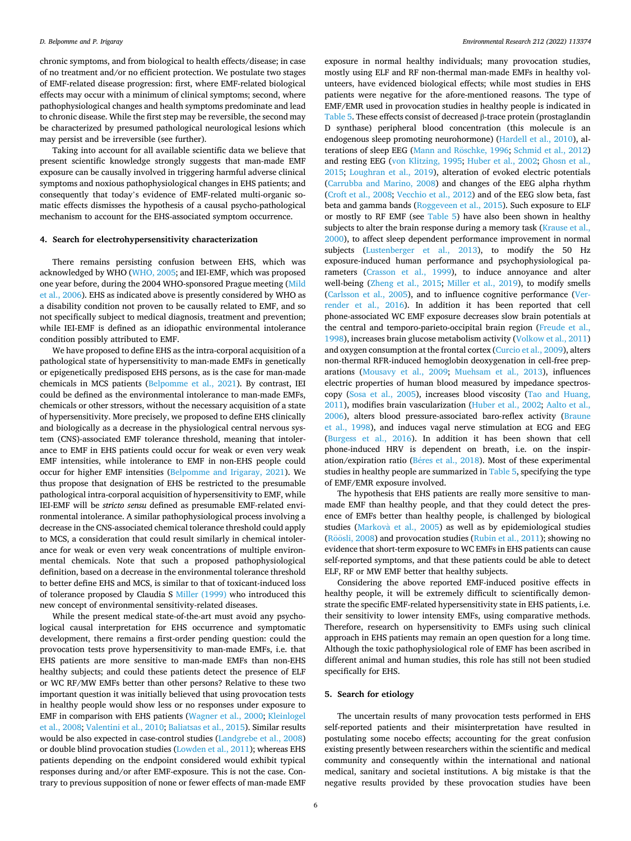chronic symptoms, and from biological to health effects/disease; in case of no treatment and/or no efficient protection. We postulate two stages of EMF-related disease progression: first, where EMF-related biological effects may occur with a minimum of clinical symptoms; second, where pathophysiological changes and health symptoms predominate and lead to chronic disease. While the first step may be reversible, the second may be characterized by presumed pathological neurological lesions which may persist and be irreversible (see further).

Taking into account for all available scientific data we believe that present scientific knowledge strongly suggests that man-made EMF exposure can be causally involved in triggering harmful adverse clinical symptoms and noxious pathophysiological changes in EHS patients; and consequently that today's evidence of EMF-related multi-organic somatic effects dismisses the hypothesis of a causal psycho-pathological mechanism to account for the EHS-associated symptom occurrence.

# **4. Search for electrohypersensitivity characterization**

There remains persisting confusion between EHS, which was acknowledged by WHO ([WHO, 2005;](#page-14-0) and IEI-EMF, which was proposed one year before, during the 2004 WHO-sponsored Prague meeting [\(Mild](#page-13-0)  [et al., 2006](#page-13-0)). EHS as indicated above is presently considered by WHO as a disability condition not proven to be causally related to EMF, and so not specifically subject to medical diagnosis, treatment and prevention; while IEI-EMF is defined as an idiopathic environmental intolerance condition possibly attributed to EMF.

We have proposed to define EHS as the intra-corporal acquisition of a pathological state of hypersensitivity to man-made EMFs in genetically or epigenetically predisposed EHS persons, as is the case for man-made chemicals in MCS patients [\(Belpomme et al., 2021](#page-10-0)). By contrast, IEI could be defined as the environmental intolerance to man-made EMFs, chemicals or other stressors, without the necessary acquisition of a state of hypersensitivity. More precisely, we proposed to define EHS clinically and biologically as a decrease in the physiological central nervous system (CNS)-associated EMF tolerance threshold, meaning that intolerance to EMF in EHS patients could occur for weak or even very weak EMF intensities, while intolerance to EMF in non-EHS people could occur for higher EMF intensities ([Belpomme and Irigaray, 2021\)](#page-10-0). We thus propose that designation of EHS be restricted to the presumable pathological intra-corporal acquisition of hypersensitivity to EMF, while IEI-EMF will be *stricto sensu* defined as presumable EMF-related environmental intolerance. A similar pathophysiological process involving a decrease in the CNS-associated chemical tolerance threshold could apply to MCS, a consideration that could result similarly in chemical intolerance for weak or even very weak concentrations of multiple environmental chemicals. Note that such a proposed pathophysiological definition, based on a decrease in the environmental tolerance threshold to better define EHS and MCS, is similar to that of toxicant-induced loss of tolerance proposed by Claudia S [Miller \(1999\)](#page-13-0) who introduced this new concept of environmental sensitivity-related diseases.

While the present medical state-of-the-art must avoid any psychological causal interpretation for EHS occurrence and symptomatic development, there remains a first-order pending question: could the provocation tests prove hypersensitivity to man-made EMFs, i.e. that EHS patients are more sensitive to man-made EMFs than non-EHS healthy subjects; and could these patients detect the presence of ELF or WC RF/MW EMFs better than other persons? Relative to these two important question it was initially believed that using provocation tests in healthy people would show less or no responses under exposure to EMF in comparison with EHS patients [\(Wagner et al., 2000](#page-14-0); [Kleinlogel](#page-12-0)  [et al., 2008](#page-12-0); [Valentini et al., 2010;](#page-14-0) [Baliatsas et al., 2015](#page-10-0)). Similar results would be also expected in case-control studies [\(Landgrebe et al., 2008\)](#page-12-0) or double blind provocation studies ([Lowden et al., 2011\)](#page-12-0); whereas EHS patients depending on the endpoint considered would exhibit typical responses during and/or after EMF-exposure. This is not the case. Contrary to previous supposition of none or fewer effects of man-made EMF

exposure in normal healthy individuals; many provocation studies, mostly using ELF and RF non-thermal man-made EMFs in healthy volunteers, have evidenced biological effects; while most studies in EHS patients were negative for the afore-mentioned reasons. The type of EMF/EMR used in provocation studies in healthy people is indicated in [Table 5](#page-6-0). These effects consist of decreased β-trace protein (prostaglandin D synthase) peripheral blood concentration (this molecule is an endogenous sleep promoting neurohormone) [\(Hardell et al., 2010\)](#page-12-0), al-terations of sleep EEG (Mann and Röschke, 1996; [Schmid et al., 2012\)](#page-13-0) and resting EEG [\(von Klitzing, 1995](#page-14-0); [Huber et al., 2002](#page-12-0); [Ghosn et al.,](#page-11-0)  [2015;](#page-11-0) [Loughran et al., 2019](#page-12-0)), alteration of evoked electric potentials ([Carrubba and Marino, 2008](#page-11-0)) and changes of the EEG alpha rhythm ([Croft et al., 2008](#page-11-0); [Vecchio et al., 2012\)](#page-14-0) and of the EEG slow beta, fast beta and gamma bands ([Roggeveen et al., 2015](#page-13-0)). Such exposure to ELF or mostly to RF EMF (see [Table 5](#page-6-0)) have also been shown in healthy subjects to alter the brain response during a memory task [\(Krause et al.,](#page-12-0)  [2000\)](#page-12-0), to affect sleep dependent performance improvement in normal subjects ([Lustenberger et al., 2013\)](#page-12-0), to modify the 50 Hz exposure-induced human performance and psychophysiological parameters [\(Crasson et al., 1999](#page-11-0)), to induce annoyance and alter well-being ([Zheng et al., 2015;](#page-14-0) [Miller et al., 2019\)](#page-13-0), to modify smells ([Carlsson et al., 2005\)](#page-11-0), and to influence cognitive performance ([Ver](#page-14-0)[render et al., 2016\)](#page-14-0). In addition it has been reported that cell phone-associated WC EMF exposure decreases slow brain potentials at the central and temporo-parieto-occipital brain region [\(Freude et al.,](#page-11-0)  [1998\)](#page-11-0), increases brain glucose metabolism activity [\(Volkow et al., 2011\)](#page-14-0) and oxygen consumption at the frontal cortex [\(Curcio et al., 2009](#page-11-0)), alters non-thermal RFR-induced hemoglobin deoxygenation in cell-free preparations [\(Mousavy et al., 2009;](#page-13-0) [Muehsam et al., 2013](#page-13-0)), influences electric properties of human blood measured by impedance spectroscopy [\(Sosa et al., 2005\)](#page-14-0), increases blood viscosity [\(Tao and Huang,](#page-14-0)  [2011\)](#page-14-0), modifies brain vascularization ([Huber et al., 2002](#page-12-0); [Aalto et al.,](#page-10-0)  [2006\)](#page-10-0), alters blood pressure-associated baro-reflex activity ([Braune](#page-11-0)  [et al., 1998\)](#page-11-0), and induces vagal nerve stimulation at ECG and EEG ([Burgess et al., 2016\)](#page-11-0). In addition it has been shown that cell phone-induced HRV is dependent on breath, i.e. on the inspiration/expiration ratio (Béres et al., 2018). Most of these experimental studies in healthy people are summarized in [Table 5,](#page-6-0) specifying the type of EMF/EMR exposure involved.

The hypothesis that EHS patients are really more sensitive to manmade EMF than healthy people, and that they could detect the presence of EMFs better than healthy people, is challenged by biological studies (Markovà [et al., 2005\)](#page-12-0) as well as by epidemiological studies (Röösli, [2008\)](#page-13-0) and provocation studies [\(Rubin et al., 2011](#page-13-0)); showing no evidence that short-term exposure to WC EMFs in EHS patients can cause self-reported symptoms, and that these patients could be able to detect ELF, RF or MW EMF better that healthy subjects.

Considering the above reported EMF-induced positive effects in healthy people, it will be extremely difficult to scientifically demonstrate the specific EMF-related hypersensitivity state in EHS patients, i.e. their sensitivity to lower intensity EMFs, using comparative methods. Therefore, research on hypersensitivity to EMFs using such clinical approach in EHS patients may remain an open question for a long time. Although the toxic pathophysiological role of EMF has been ascribed in different animal and human studies, this role has still not been studied specifically for EHS.

## **5. Search for etiology**

The uncertain results of many provocation tests performed in EHS self-reported patients and their misinterpretation have resulted in postulating some nocebo effects; accounting for the great confusion existing presently between researchers within the scientific and medical community and consequently within the international and national medical, sanitary and societal institutions. A big mistake is that the negative results provided by these provocation studies have been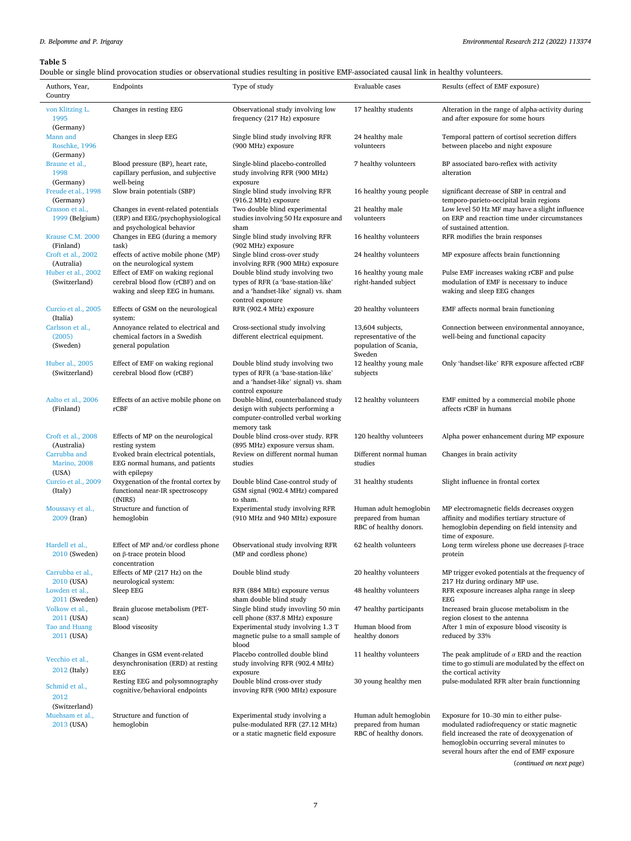<span id="page-6-0"></span>Double or single blind provocation studies or observational studies resulting in positive EMF-associated causal link in healthy volunteers.

| Authors, Year,<br>Country                           | Endpoints                                                                                              | Type of study                                                                                                                        | Evaluable cases                                                         | Results (effect of EMF exposure)                                                                                                                                                  |
|-----------------------------------------------------|--------------------------------------------------------------------------------------------------------|--------------------------------------------------------------------------------------------------------------------------------------|-------------------------------------------------------------------------|-----------------------------------------------------------------------------------------------------------------------------------------------------------------------------------|
| von Klitzing L.<br>1995                             | Changes in resting EEG                                                                                 | Observational study involving low<br>frequency (217 Hz) exposure                                                                     | 17 healthy students                                                     | Alteration in the range of alpha-activity during<br>and after exposure for some hours                                                                                             |
| (Germany)<br>Mann and<br>Roschke, 1996<br>(Germany) | Changes in sleep EEG                                                                                   | Single blind study involving RFR<br>(900 MHz) exposure                                                                               | 24 healthy male<br>volunteers                                           | Temporal pattern of cortisol secretion differs<br>between placebo and night exposure                                                                                              |
| Braune et al.,<br>1998<br>(Germany)                 | Blood pressure (BP), heart rate,<br>capillary perfusion, and subjective<br>well-being                  | Single-blind placebo-controlled<br>study involving RFR (900 MHz)<br>exposure                                                         | 7 healthy volunteers                                                    | BP associated baro-reflex with activity<br>alteration                                                                                                                             |
| Freude et al., 1998<br>(Germany)                    | Slow brain potentials (SBP)                                                                            | Single blind study involving RFR<br>(916.2 MHz) exposure                                                                             | 16 healthy young people                                                 | significant decrease of SBP in central and<br>temporo-parieto-occipital brain regions                                                                                             |
| Crasson et al.,<br>1999 (Belgium)                   | Changes in event-related potentials<br>(ERP) and EEG/psychophysiological<br>and psychological behavior | Two double blind experimental<br>studies involving 50 Hz exposure and<br>sham                                                        | 21 healthy male<br>volunteers                                           | Low level 50 Hz MF may have a slight influence<br>on ERP and reaction time under circumstances<br>of sustained attention.                                                         |
| Krause C.M. 2000<br>(Finland)<br>Croft et al., 2002 | Changes in EEG (during a memory<br>task)<br>effects of active mobile phone (MP)                        | Single blind study involving RFR<br>(902 MHz) exposure<br>Single blind cross-over study                                              | 16 healthy volunteers<br>24 healthy volunteers                          | RFR modifies the brain responses<br>MP exposure affects brain functionning                                                                                                        |
| (Autralia)<br>Huber et al., 2002                    | on the neurological system<br>Effect of EMF on waking regional                                         | involving RFR (900 MHz) exposure<br>Double blind study involving two                                                                 | 16 healthy young male                                                   | Pulse EMF increases waking rCBF and pulse                                                                                                                                         |
| (Switzerland)                                       | cerebral blood flow (rCBF) and on<br>waking and sleep EEG in humans.                                   | types of RFR (a 'base-station-like'<br>and a 'handset-like' signal) vs. sham<br>control exposure                                     | right-handed subject                                                    | modulation of EMF is necessary to induce<br>waking and sleep EEG changes                                                                                                          |
| Curcio et al., 2005<br>(Italia)                     | Effects of GSM on the neurological<br>system:                                                          | RFR (902.4 MHz) exposure                                                                                                             | 20 healthy volunteers                                                   | EMF affects normal brain functioning                                                                                                                                              |
| Carlsson et al.,<br>(2005)<br>(Sweden)              | Annoyance related to electrical and<br>chemical factors in a Swedish<br>general population             | Cross-sectional study involving<br>different electrical equipment.                                                                   | 13,604 subjects,<br>representative of the<br>population of Scania,      | Connection between environmental annoyance,<br>well-being and functional capacity                                                                                                 |
| Huber al., 2005<br>(Switzerland)                    | Effect of EMF on waking regional<br>cerebral blood flow (rCBF)                                         | Double blind study involving two<br>types of RFR (a 'base-station-like'<br>and a 'handset-like' signal) vs. sham<br>control exposure | Sweden<br>12 healthy young male<br>subjects                             | Only 'handset-like' RFR exposure affected rCBF                                                                                                                                    |
| Aalto et al., 2006<br>(Finland)                     | Effects of an active mobile phone on<br>rCBF                                                           | Double-blind, counterbalanced study<br>design with subjects performing a<br>computer-controlled verbal working<br>memory task        | 12 healthy volunteers                                                   | EMF emitted by a commercial mobile phone<br>affects rCBF in humans                                                                                                                |
| Croft et al., 2008<br>(Australia)                   | Effects of MP on the neurological<br>resting system                                                    | Double blind cross-over study. RFR<br>(895 MHz) exposure versus sham.                                                                | 120 healthy volunteers                                                  | Alpha power enhancement during MP exposure                                                                                                                                        |
| Carrubba and<br><b>Marino</b> , 2008<br>(USA)       | Evoked brain electrical potentials,<br>EEG normal humans, and patients<br>with epilepsy                | Review on different normal human<br>studies                                                                                          | Different normal human<br>studies                                       | Changes in brain activity                                                                                                                                                         |
| Curcio et al., 2009<br>(Italy)                      | Oxygenation of the frontal cortex by<br>functional near-IR spectroscopy<br>(fNIRS)                     | Double blind Case-control study of<br>GSM signal (902.4 MHz) compared<br>to sham.                                                    | 31 healthy students                                                     | Slight influence in frontal cortex                                                                                                                                                |
| Moussavy et al.,<br>2009 (Iran)                     | Structure and function of<br>hemoglobin                                                                | Experimental study involving RFR<br>(910 MHz and 940 MHz) exposure                                                                   | Human adult hemoglobin<br>prepared from human<br>RBC of healthy donors. | MP electromagnetic fields decreases oxygen<br>affinity and modifies tertiary structure of<br>hemoglobin depending on field intensity and<br>time of exposure.                     |
| Hardell et al.,<br>2010 (Sweden)                    | Effect of MP and/or cordless phone<br>on $\beta$ -trace protein blood<br>concentration                 | Observational study involving RFR<br>(MP and cordless phone)                                                                         | 62 health volunteers                                                    | Long term wireless phone use decreases $\beta$ -trace<br>protein                                                                                                                  |
| Carrubba et al.,<br>2010 (USA)                      | Effects of MP (217 Hz) on the<br>neurological system:                                                  | Double blind study                                                                                                                   | 20 healthy volunteers                                                   | MP trigger evoked potentials at the frequency of<br>217 Hz during ordinary MP use.                                                                                                |
| Lowden et al.,<br>2011 (Sweden)                     | Sleep EEG                                                                                              | RFR (884 MHz) exposure versus<br>sham double blind study                                                                             | 48 healthy volunteers                                                   | RFR exposure increases alpha range in sleep<br>EEG                                                                                                                                |
| Volkow et al.,<br>2011 (USA)                        | Brain glucose metabolism (PET-<br>scan)                                                                | Single blind study invovling 50 min<br>cell phone (837.8 MHz) exposure                                                               | 47 healthy participants                                                 | Increased brain glucose metabolism in the<br>region closest to the antenna                                                                                                        |
| Tao and Huang<br>2011 (USA)                         | <b>Blood</b> viscosity                                                                                 | Experimental study involving 1.3 T<br>magnetic pulse to a small sample of<br>blood                                                   | Human blood from<br>healthy donors                                      | After 1 min of exposure blood viscosity is<br>reduced by 33%                                                                                                                      |
| Vecchio et al.,<br>2012 (Italy)                     | Changes in GSM event-related<br>desynchronisation (ERD) at resting<br>EEG                              | Placebo controlled double blind<br>study involving RFR (902.4 MHz)<br>exposure                                                       | 11 healthy volunteers                                                   | The peak amplitude of $\alpha$ ERD and the reaction<br>time to go stimuli are modulated by the effect on<br>the cortical activity                                                 |
| Schmid et al.,<br>2012                              | Resting EEG and polysomnography<br>cognitive/behavioral endpoints                                      | Double blind cross-over study<br>invoving RFR (900 MHz) exposure                                                                     | 30 young healthy men                                                    | pulse-modulated RFR alter brain functionning                                                                                                                                      |
| (Switzerland)<br>Muehsam et al.,<br>2013 (USA)      | Structure and function of<br>hemoglobin                                                                | Experimental study involving a<br>pulse-modulated RFR (27.12 MHz)<br>or a static magnetic field exposure                             | Human adult hemoglobin<br>prepared from human<br>RBC of healthy donors. | Exposure for 10-30 min to either pulse-<br>modulated radiofrequency or static magnetic<br>field increased the rate of deoxygenation of<br>hemoglobin occurring several minutes to |

(*continued on next page*)

several hours after the end of EMF exposure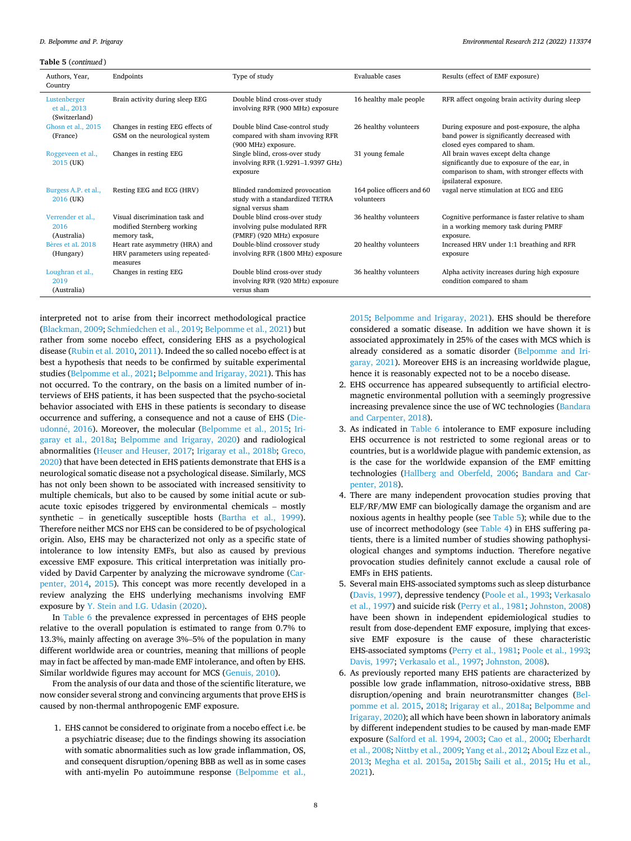**Table 5** (*continued* )

| Authors, Year,<br>Country                     | Endpoints                                                                    | Type of study                                                                               | Evaluable cases                          | Results (effect of EMF exposure)                                                                                                                               |
|-----------------------------------------------|------------------------------------------------------------------------------|---------------------------------------------------------------------------------------------|------------------------------------------|----------------------------------------------------------------------------------------------------------------------------------------------------------------|
| Lustenberger<br>et al., 2013<br>(Switzerland) | Brain activity during sleep EEG                                              | Double blind cross-over study<br>involving RFR (900 MHz) exposure                           | 16 healthy male people                   | RFR affect ongoing brain activity during sleep                                                                                                                 |
| Ghosn et al., 2015<br>(France)                | Changes in resting EEG effects of<br>GSM on the neurological system          | Double blind Case-control study<br>compared with sham invoving RFR<br>(900 MHz) exposure.   | 26 healthy volunteers                    | During exposure and post-exposure, the alpha<br>band power is significantly decreased with<br>closed eyes compared to sham.                                    |
| Roggeveen et al.,<br>2015 (UK)                | Changes in resting EEG                                                       | Single blind, cross-over study<br>involving RFR (1.9291-1.9397 GHz)<br>exposure             | 31 young female                          | All brain waves except delta change<br>significantly due to exposure of the ear, in<br>comparison to sham, with stronger effects with<br>ipsilateral exposure. |
| Burgess A.P. et al.,<br>2016 (UK)             | Resting EEG and ECG (HRV)                                                    | Blinded randomized provocation<br>study with a standardized TETRA<br>signal versus sham     | 164 police officers and 60<br>volunteers | vagal nerve stimulation at ECG and EEG                                                                                                                         |
| Verrender et al.,<br>2016<br>(Australia)      | Visual discrimination task and<br>modified Sternberg working<br>memory task, | Double blind cross-over study<br>involving pulse modulated RFR<br>(PMRF) (920 MHz) exposure | 36 healthy volunteers                    | Cognitive performance is faster relative to sham<br>in a working memory task during PMRF<br>exposure.                                                          |
| Bères et aL 2018<br>(Hungary)                 | Heart rate asymmetry (HRA) and<br>HRV parameters using repeated-<br>measures | Double-blind crossover study<br>involving RFR (1800 MHz) exposure                           | 20 healthy volunteers                    | Increased HRV under 1:1 breathing and RFR<br>exposure                                                                                                          |
| Loughran et al.,<br>2019<br>(Australia)       | Changes in resting EEG                                                       | Double blind cross-over study<br>involving RFR (920 MHz) exposure<br>versus sham            | 36 healthy volunteers                    | Alpha activity increases during high exposure<br>condition compared to sham                                                                                    |

interpreted not to arise from their incorrect methodological practice ([Blackman, 2009](#page-10-0); [Schmiedchen et al., 2019](#page-14-0); [Belpomme et al., 2021](#page-10-0)) but rather from some nocebo effect, considering EHS as a psychological disease [\(Rubin et al. 2010, 2011\)](#page-13-0). Indeed the so called nocebo effect is at best a hypothesis that needs to be confirmed by suitable experimental studies ([Belpomme et al., 2021](#page-10-0); [Belpomme and Irigaray, 2021](#page-10-0)). This has not occurred. To the contrary, on the basis on a limited number of interviews of EHS patients, it has been suspected that the psycho-societal behavior associated with EHS in these patients is secondary to disease occurrence and suffering, a consequence and not a cause of EHS [\(Die-](#page-11-0)udonné, 2016). Moreover, the molecular [\(Belpomme et al., 2015;](#page-10-0) [Iri](#page-12-0)[garay et al., 2018a;](#page-12-0) [Belpomme and Irigaray, 2020](#page-10-0)) and radiological abnormalities [\(Heuser and Heuser, 2017](#page-12-0); [Irigaray et al., 2018b](#page-12-0); [Greco,](#page-11-0)  [2020\)](#page-11-0) that have been detected in EHS patients demonstrate that EHS is a neurological somatic disease not a psychological disease. Similarly, MCS has not only been shown to be associated with increased sensitivity to multiple chemicals, but also to be caused by some initial acute or subacute toxic episodes triggered by environmental chemicals – mostly synthetic – in genetically susceptible hosts [\(Bartha et al., 1999](#page-10-0)). Therefore neither MCS nor EHS can be considered to be of psychological origin. Also, EHS may be characterized not only as a specific state of intolerance to low intensity EMFs, but also as caused by previous excessive EMF exposure. This critical interpretation was initially provided by David Carpenter by analyzing the microwave syndrome ([Car](#page-11-0)[penter, 2014,](#page-11-0) [2015](#page-11-0)). This concept was more recently developed in a review analyzing the EHS underlying mechanisms involving EMF exposure by [Y. Stein and I.G. Udasin \(2020\)](#page-14-0).

In [Table 6](#page-8-0) the prevalence expressed in percentages of EHS people relative to the overall population is estimated to range from 0.7% to 13.3%, mainly affecting on average 3%–5% of the population in many different worldwide area or countries, meaning that millions of people may in fact be affected by man-made EMF intolerance, and often by EHS. Similar worldwide figures may account for MCS ([Genuis, 2010\)](#page-11-0).

From the analysis of our data and those of the scientific literature, we now consider several strong and convincing arguments that prove EHS is caused by non-thermal anthropogenic EMF exposure.

1. EHS cannot be considered to originate from a nocebo effect i.e. be a psychiatric disease; due to the findings showing its association with somatic abnormalities such as low grade inflammation, OS, and consequent disruption/opening BBB as well as in some cases with anti-myelin Po autoimmune response [\(Belpomme et al.,](#page-10-0) 

[2015](#page-10-0); [Belpomme and Irigaray, 2021](#page-10-0)). EHS should be therefore considered a somatic disease. In addition we have shown it is associated approximately in 25% of the cases with MCS which is already considered as a somatic disorder ([Belpomme and Iri](#page-10-0)[garay, 2021\)](#page-10-0). Moreover EHS is an increasing worldwide plague, hence it is reasonably expected not to be a nocebo disease.

- 2. EHS occurrence has appeared subsequently to artificial electromagnetic environmental pollution with a seemingly progressive increasing prevalence since the use of WC technologies ([Bandara](#page-10-0)  [and Carpenter, 2018](#page-10-0)).
- 3. As indicated in [Table 6](#page-8-0) intolerance to EMF exposure including EHS occurrence is not restricted to some regional areas or to countries, but is a worldwide plague with pandemic extension, as is the case for the worldwide expansion of the EMF emitting technologies [\(Hallberg and Oberfeld, 2006](#page-11-0); [Bandara and Car](#page-10-0)[penter, 2018\)](#page-10-0).
- 4. There are many independent provocation studies proving that ELF/RF/MW EMF can biologically damage the organism and are noxious agents in healthy people (see [Table 5](#page-6-0)); while due to the use of incorrect methodology (see [Table 4](#page-4-0)) in EHS suffering patients, there is a limited number of studies showing pathophysiological changes and symptoms induction. Therefore negative provocation studies definitely cannot exclude a causal role of EMFs in EHS patients.
- 5. Several main EHS-associated symptoms such as sleep disturbance [\(Davis, 1997\)](#page-11-0), depressive tendency ([Poole et al., 1993;](#page-13-0) [Verkasalo](#page-14-0)  [et al., 1997](#page-14-0)) and suicide risk [\(Perry et al., 1981;](#page-13-0) [Johnston, 2008\)](#page-12-0) have been shown in independent epidemiological studies to result from dose-dependent EMF exposure, implying that excessive EMF exposure is the cause of these characteristic EHS-associated symptoms [\(Perry et al., 1981; Poole et al., 1993](#page-13-0); [Davis, 1997](#page-11-0); [Verkasalo et al., 1997](#page-14-0); [Johnston, 2008](#page-12-0)).
- 6. As previously reported many EHS patients are characterized by possible low grade inflammation, nitroso-oxidative stress, BBB disruption/opening and brain neurotransmitter changes [\(Bel](#page-10-0)[pomme et al. 2015, 2018](#page-10-0); [Irigaray et al., 2018a;](#page-12-0) [Belpomme and](#page-10-0)  [Irigaray, 2020](#page-10-0)); all which have been shown in laboratory animals by different independent studies to be caused by man-made EMF exposure ([Salford et al. 1994, 2003](#page-13-0); [Cao et al., 2000;](#page-11-0) [Eberhardt](#page-11-0)  [et al., 2008](#page-11-0); [Nittby et al., 2009;](#page-13-0) [Yang et al., 2012](#page-14-0); [Aboul Ezz et al.,](#page-10-0)  [2013](#page-10-0); [Megha et al. 2015a](#page-13-0), [2015b](#page-13-0); [Saili et al., 2015;](#page-13-0) [Hu et al.,](#page-12-0)  [2021](#page-12-0)).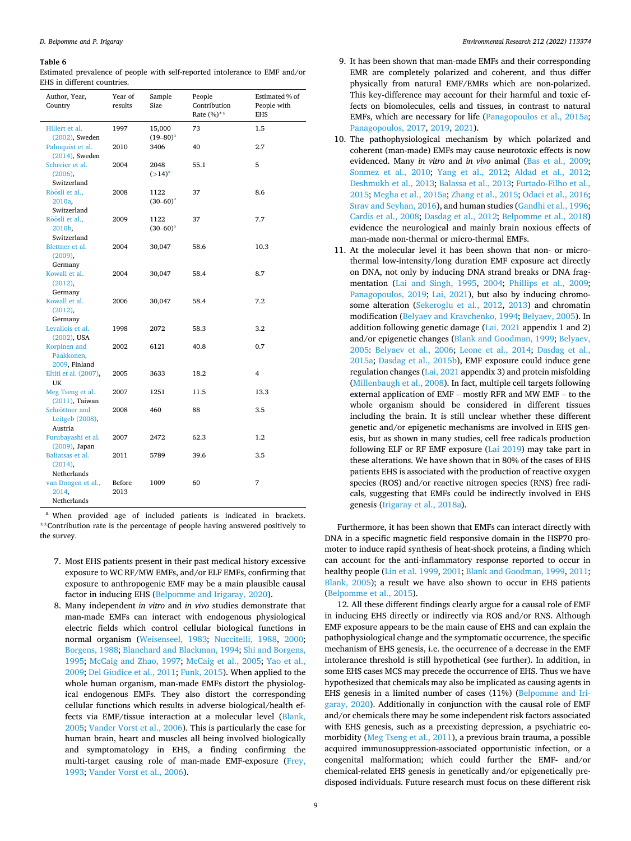<span id="page-8-0"></span>Estimated prevalence of people with self-reported intolerance to EMF and/or EHS in different countries.

| Author, Year,<br>Country                      | Year of<br>results | Sample<br>Size          | People<br>Contribution<br>Rate (%)** | Estimated % of<br>People with<br><b>EHS</b> |
|-----------------------------------------------|--------------------|-------------------------|--------------------------------------|---------------------------------------------|
| Hillert et al.<br>$(2002)$ , Sweden           | 1997               | 15,000<br>$(19 - 80)^a$ | 73                                   | 1.5                                         |
| Palmquist et al.<br>$(2014)$ , Sweden         | 2010               | 3406                    | 40                                   | 2.7                                         |
| Schreier et al.<br>(2006).<br>Switzerland     | 2004               | 2048<br>$(>14)^a$       | 55.1                                 | 5                                           |
| Röösli et al.,<br>2010a.<br>Switzerland       | 2008               | 1122<br>$(30 - 60)^a$   | 37                                   | 8.6                                         |
| Röösli et al.,<br>2010b,<br>Switzerland       | 2009               | 1122<br>$(30-60)^a$     | 37                                   | 7.7                                         |
| Blettner et al.<br>$(2009)$ ,                 | 2004               | 30,047                  | 58.6                                 | 10.3                                        |
| Germany<br>Kowall et al.<br>$(2012)$ ,        | 2004               | 30,047                  | 58.4                                 | 8.7                                         |
| Germany<br>Kowall et al.<br>(2012),           | 2006               | 30,047                  | 58.4                                 | 7.2                                         |
| Germany<br>Levallois et al.<br>$(2002)$ , USA | 1998               | 2072                    | 58.3                                 | 3.2                                         |
| Korpinen and<br>Pääkkönen,<br>2009, Finland   | 2002               | 6121                    | 40.8                                 | 0.7                                         |
| Eltiti et al. (2007),<br>UK                   | 2005               | 3633                    | 18.2                                 | 4                                           |
| Meg Tseng et al.<br>$(2011)$ , Taiwan         | 2007               | 1251                    | 11.5                                 | 13.3                                        |
| Schröttner and<br>Leitgeb (2008),<br>Austria  | 2008               | 460                     | 88                                   | 3.5                                         |
| Furubayashi et al.<br>(2009), Japan           | 2007               | 2472                    | 62.3                                 | 1.2                                         |
| Baliatsas et al.<br>(2014),<br>Netherlands    | 2011               | 5789                    | 39.6                                 | 3.5                                         |
| van Dongen et al.,<br>2014.<br>Netherlands    | Before<br>2013     | 1009                    | 60                                   | 7                                           |

<sup>a</sup> When provided age of included patients is indicated in brackets. \*\*Contribution rate is the percentage of people having answered positively to the survey.

- 7. Most EHS patients present in their past medical history excessive exposure to WC RF/MW EMFs, and/or ELF EMFs, confirming that exposure to anthropogenic EMF may be a main plausible causal factor in inducing EHS ([Belpomme and Irigaray, 2020\)](#page-10-0).
- 8. Many independent *in vitro* and *in vivo* studies demonstrate that man-made EMFs can interact with endogenous physiological electric fields which control cellular biological functions in normal organism ([Weisenseel, 1983;](#page-14-0) [Nuccitelli, 1988](#page-13-0), [2000](#page-13-0); [Borgens, 1988;](#page-11-0) [Blanchard and Blackman, 1994;](#page-10-0) [Shi and Borgens,](#page-14-0)  [1995](#page-14-0); [McCaig and Zhao, 1997;](#page-12-0) [McCaig et al., 2005;](#page-12-0) [Yao et al.,](#page-14-0)  [2009](#page-14-0); [Del Giudice et al., 2011](#page-11-0); [Funk, 2015](#page-11-0)). When applied to the whole human organism, man-made EMFs distort the physiological endogenous EMFs. They also distort the corresponding cellular functions which results in adverse biological/health effects via EMF/tissue interaction at a molecular level [\(Blank,](#page-11-0)  [2005](#page-11-0); [Vander Vorst et al., 2006](#page-14-0)). This is particularly the case for human brain, heart and muscles all being involved biologically and symptomatology in EHS, a finding confirming the multi-target causing role of man-made EMF-exposure ([Frey,](#page-11-0)  [1993](#page-11-0); [Vander Vorst et al., 2006](#page-14-0)).
- 9. It has been shown that man-made EMFs and their corresponding EMR are completely polarized and coherent, and thus differ physically from natural EMF/EMRs which are non-polarized. This key-difference may account for their harmful and toxic effects on biomolecules, cells and tissues, in contrast to natural EMFs, which are necessary for life ([Panagopoulos et al., 2015a](#page-13-0); [Panagopoulos, 2017,](#page-13-0) [2019, 2021](#page-13-0)).
- 10. The pathophysiological mechanism by which polarized and coherent (man-made) EMFs may cause neurotoxic effects is now evidenced. Many *in vitro* and *in vivo* animal ([Bas et al., 2009](#page-10-0); [Sonmez et al., 2010](#page-14-0); [Yang et al., 2012](#page-14-0); [Aldad et al., 2012](#page-10-0); [Deshmukh et al., 2013](#page-11-0); [Balassa et al., 2013;](#page-10-0) [Furtado-Filho et al.,](#page-11-0)  [2015](#page-11-0); [Megha et al., 2015a;](#page-13-0) [Zhang et al., 2015](#page-14-0); [Odaci et al., 2016](#page-13-0); [Sırav and Seyhan, 2016](#page-14-0)), and human studies [\(Gandhi et al., 1996](#page-11-0); [Cardis et al., 2008;](#page-11-0) [Dasdag et al., 2012](#page-11-0); [Belpomme et al., 2018\)](#page-10-0) evidence the neurological and mainly brain noxious effects of man-made non-thermal or micro-thermal EMFs.
- 11. At the molecular level it has been shown that non- or microthermal low-intensity/long duration EMF exposure act directly on DNA, not only by inducing DNA strand breaks or DNA fragmentation ([Lai and Singh, 1995](#page-12-0), [2004](#page-12-0); [Phillips et al., 2009](#page-13-0); [Panagopoulos, 2019;](#page-13-0) [Lai, 2021](#page-12-0)), but also by inducing chromosome alteration [\(Sekeroglu et al., 2012](#page-14-0), [2013](#page-14-0)) and chromatin modification [\(Belyaev and Kravchenko, 1994](#page-10-0); [Belyaev, 2005](#page-10-0)). In addition following genetic damage [\(Lai, 2021](#page-12-0) appendix 1 and 2) and/or epigenetic changes [\(Blank and Goodman, 1999](#page-10-0); [Belyaev,](#page-10-0)  [2005](#page-10-0): [Belyaev et al., 2006](#page-10-0); [Leone et al., 2014](#page-12-0); [Dasdag et al.,](#page-11-0)  [2015a](#page-11-0); [Dasdag et al., 2015b](#page-11-0)), EMF exposure could induce gene regulation changes [\(Lai, 2021](#page-12-0) appendix 3) and protein misfolding [\(Millenbaugh et al., 2008](#page-13-0)). In fact, multiple cell targets following external application of EMF – mostly RFR and MW EMF – to the whole organism should be considered in different tissues including the brain. It is still unclear whether these different genetic and/or epigenetic mechanisms are involved in EHS genesis, but as shown in many studies, cell free radicals production following ELF or RF EMF exposure ([Lai 2019](#page-12-0)) may take part in these alterations. We have shown that in 80% of the cases of EHS patients EHS is associated with the production of reactive oxygen species (ROS) and/or reactive nitrogen species (RNS) free radicals, suggesting that EMFs could be indirectly involved in EHS genesis [\(Irigaray et al., 2018a\)](#page-12-0).

Furthermore, it has been shown that EMFs can interact directly with DNA in a specific magnetic field responsive domain in the HSP70 promoter to induce rapid synthesis of heat-shock proteins, a finding which can account for the anti-inflammatory response reported to occur in healthy people [\(Lin et al. 1999, 2001;](#page-12-0) [Blank and Goodman, 1999](#page-10-0), [2011](#page-10-0); [Blank, 2005](#page-11-0)); a result we have also shown to occur in EHS patients ([Belpomme et al., 2015\)](#page-10-0).

12. All these different findings clearly argue for a causal role of EMF in inducing EHS directly or indirectly via ROS and/or RNS. Although EMF exposure appears to be the main cause of EHS and can explain the pathophysiological change and the symptomatic occurrence, the specific mechanism of EHS genesis, i.e. the occurrence of a decrease in the EMF intolerance threshold is still hypothetical (see further). In addition, in some EHS cases MCS may precede the occurrence of EHS. Thus we have hypothesized that chemicals may also be implicated as causing agents in EHS genesis in a limited number of cases (11%) ([Belpomme and Iri](#page-10-0)[garay, 2020](#page-10-0)). Additionally in conjunction with the causal role of EMF and/or chemicals there may be some independent risk factors associated with EHS genesis, such as a preexisting depression, a psychiatric comorbidity ([Meg Tseng et al., 2011\)](#page-13-0), a previous brain trauma, a possible acquired immunosuppression-associated opportunistic infection, or a congenital malformation; which could further the EMF- and/or chemical-related EHS genesis in genetically and/or epigenetically predisposed individuals. Future research must focus on these different risk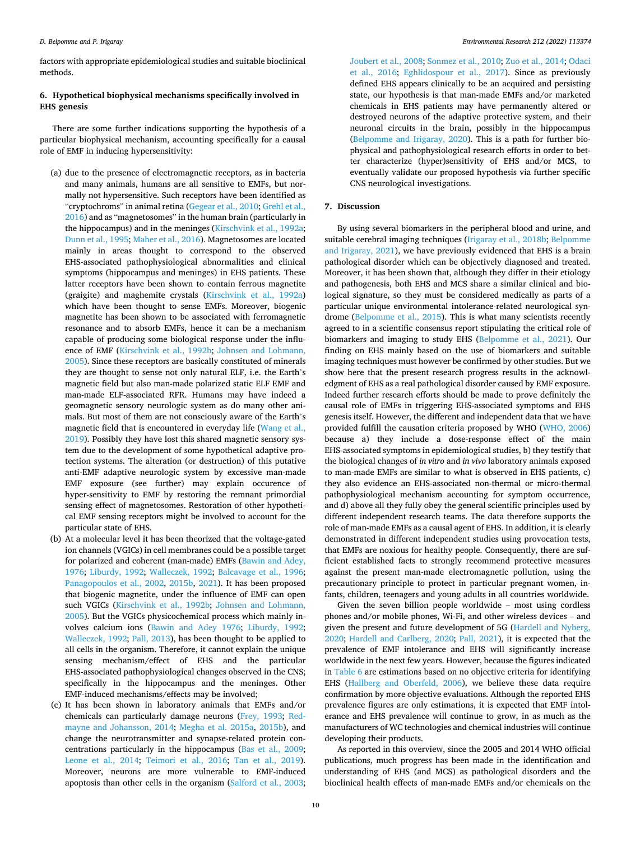factors with appropriate epidemiological studies and suitable bioclinical methods.

# **6. Hypothetical biophysical mechanisms specifically involved in EHS genesis**

There are some further indications supporting the hypothesis of a particular biophysical mechanism, accounting specifically for a causal role of EMF in inducing hypersensitivity:

- (a) due to the presence of electromagnetic receptors, as in bacteria and many animals, humans are all sensitive to EMFs, but normally not hypersensitive. Such receptors have been identified as "cryptochroms" in animal retina ([Gegear et al., 2010](#page-11-0); [Grehl et al.,](#page-11-0)  [2016](#page-11-0)) and as "magnetosomes" in the human brain (particularly in the hippocampus) and in the meninges [\(Kirschvink et al., 1992a](#page-12-0); [Dunn et al., 1995;](#page-11-0) [Maher et al., 2016](#page-12-0)). Magnetosomes are located mainly in areas thought to correspond to the observed EHS-associated pathophysiological abnormalities and clinical symptoms (hippocampus and meninges) in EHS patients. These latter receptors have been shown to contain ferrous magnetite (graigite) and maghemite crystals ([Kirschvink et al., 1992a\)](#page-12-0) which have been thought to sense EMFs. Moreover, biogenic magnetite has been shown to be associated with ferromagnetic resonance and to absorb EMFs, hence it can be a mechanism capable of producing some biological response under the influence of EMF ([Kirschvink et al., 1992b;](#page-12-0) [Johnsen and Lohmann,](#page-12-0)  [2005](#page-12-0)). Since these receptors are basically constituted of minerals they are thought to sense not only natural ELF, i.e. the Earth's magnetic field but also man-made polarized static ELF EMF and man-made ELF-associated RFR. Humans may have indeed a geomagnetic sensory neurologic system as do many other animals. But most of them are not consciously aware of the Earth's magnetic field that is encountered in everyday life [\(Wang et al.,](#page-14-0)  [2019](#page-14-0)). Possibly they have lost this shared magnetic sensory system due to the development of some hypothetical adaptive protection systems. The alteration (or destruction) of this putative anti-EMF adaptive neurologic system by excessive man-made EMF exposure (see further) may explain occurence of hyper-sensitivity to EMF by restoring the remnant primordial sensing effect of magnetosomes. Restoration of other hypothetical EMF sensing receptors might be involved to account for the particular state of EHS.
- (b) At a molecular level it has been theorized that the voltage-gated ion channels (VGICs) in cell membranes could be a possible target for polarized and coherent (man-made) EMFs [\(Bawin and Adey,](#page-10-0)  [1976](#page-10-0); [Liburdy, 1992;](#page-12-0) [Walleczek, 1992](#page-14-0); [Balcavage et al., 1996](#page-10-0); [Panagopoulos et al., 2002,](#page-13-0) [2015b](#page-13-0), [2021](#page-13-0)). It has been proposed that biogenic magnetite, under the influence of EMF can open such VGICs ([Kirschvink et al., 1992b](#page-12-0); [Johnsen and Lohmann,](#page-12-0)  [2005](#page-12-0)). But the VGICs physicochemical process which mainly involves calcium ions ([Bawin and Adey 1976](#page-10-0); [Liburdy, 1992](#page-12-0); [Walleczek, 1992;](#page-14-0) [Pall, 2013\)](#page-13-0), has been thought to be applied to all cells in the organism. Therefore, it cannot explain the unique sensing mechanism/effect of EHS and the particular EHS-associated pathophysiological changes observed in the CNS; specifically in the hippocampus and the meninges. Other EMF-induced mechanisms/effects may be involved;
- (c) It has been shown in laboratory animals that EMFs and/or chemicals can particularly damage neurons [\(Frey, 1993;](#page-11-0) [Red](#page-13-0)[mayne and Johansson, 2014](#page-13-0); [Megha et al. 2015a,](#page-13-0) [2015b](#page-13-0)), and change the neurotransmitter and synapse-related protein concentrations particularly in the hippocampus [\(Bas et al., 2009](#page-10-0); [Leone et al., 2014](#page-12-0); [Teimori et al., 2016;](#page-14-0) [Tan et al., 2019](#page-14-0)). Moreover, neurons are more vulnerable to EMF-induced apoptosis than other cells in the organism ([Salford et al., 2003](#page-13-0);

[Joubert et al., 2008](#page-12-0); [Sonmez et al., 2010; Zuo et al., 2014;](#page-14-0) [Odaci](#page-13-0)  [et al., 2016;](#page-13-0) [Eghlidospour et al., 2017\)](#page-11-0). Since as previously defined EHS appears clinically to be an acquired and persisting state, our hypothesis is that man-made EMFs and/or marketed chemicals in EHS patients may have permanently altered or destroyed neurons of the adaptive protective system, and their neuronal circuits in the brain, possibly in the hippocampus [\(Belpomme and Irigaray, 2020](#page-10-0)). This is a path for further biophysical and pathophysiological research efforts in order to better characterize (hyper)sensitivity of EHS and/or MCS, to eventually validate our proposed hypothesis via further specific CNS neurological investigations.

# **7. Discussion**

By using several biomarkers in the peripheral blood and urine, and suitable cerebral imaging techniques [\(Irigaray et al., 2018b;](#page-12-0) [Belpomme](#page-10-0)  [and Irigaray, 2021\)](#page-10-0), we have previously evidenced that EHS is a brain pathological disorder which can be objectively diagnosed and treated. Moreover, it has been shown that, although they differ in their etiology and pathogenesis, both EHS and MCS share a similar clinical and biological signature, so they must be considered medically as parts of a particular unique environmental intolerance-related neurological syndrome [\(Belpomme et al., 2015\)](#page-10-0). This is what many scientists recently agreed to in a scientific consensus report stipulating the critical role of biomarkers and imaging to study EHS [\(Belpomme et al., 2021\)](#page-10-0). Our finding on EHS mainly based on the use of biomarkers and suitable imaging techniques must however be confirmed by other studies. But we show here that the present research progress results in the acknowledgment of EHS as a real pathological disorder caused by EMF exposure. Indeed further research efforts should be made to prove definitely the causal role of EMFs in triggering EHS-associated symptoms and EHS genesis itself. However, the different and independent data that we have provided fulfill the causation criteria proposed by WHO ([WHO, 2006\)](#page-14-0) because a) they include a dose-response effect of the main EHS-associated symptoms in epidemiological studies, b) they testify that the biological changes of *in vitro* and *in vivo* laboratory animals exposed to man-made EMFs are similar to what is observed in EHS patients, c) they also evidence an EHS-associated non-thermal or micro-thermal pathophysiological mechanism accounting for symptom occurrence, and d) above all they fully obey the general scientific principles used by different independent research teams. The data therefore supports the role of man-made EMFs as a causal agent of EHS. In addition, it is clearly demonstrated in different independent studies using provocation tests, that EMFs are noxious for healthy people. Consequently, there are sufficient established facts to strongly recommend protective measures against the present man-made electromagnetic pollution, using the precautionary principle to protect in particular pregnant women, infants, children, teenagers and young adults in all countries worldwide.

Given the seven billion people worldwide – most using cordless phones and/or mobile phones, Wi-Fi, and other wireless devices – and given the present and future development of 5G ([Hardell and Nyberg,](#page-12-0)  [2020;](#page-12-0) [Hardell and Carlberg, 2020](#page-11-0); [Pall, 2021](#page-13-0)), it is expected that the prevalence of EMF intolerance and EHS will significantly increase worldwide in the next few years. However, because the figures indicated in [Table 6](#page-8-0) are estimations based on no objective criteria for identifying EHS ([Hallberg and Oberfeld, 2006](#page-11-0)), we believe these data require confirmation by more objective evaluations. Although the reported EHS prevalence figures are only estimations, it is expected that EMF intolerance and EHS prevalence will continue to grow, in as much as the manufacturers of WC technologies and chemical industries will continue developing their products.

As reported in this overview, since the 2005 and 2014 WHO official publications, much progress has been made in the identification and understanding of EHS (and MCS) as pathological disorders and the bioclinical health effects of man-made EMFs and/or chemicals on the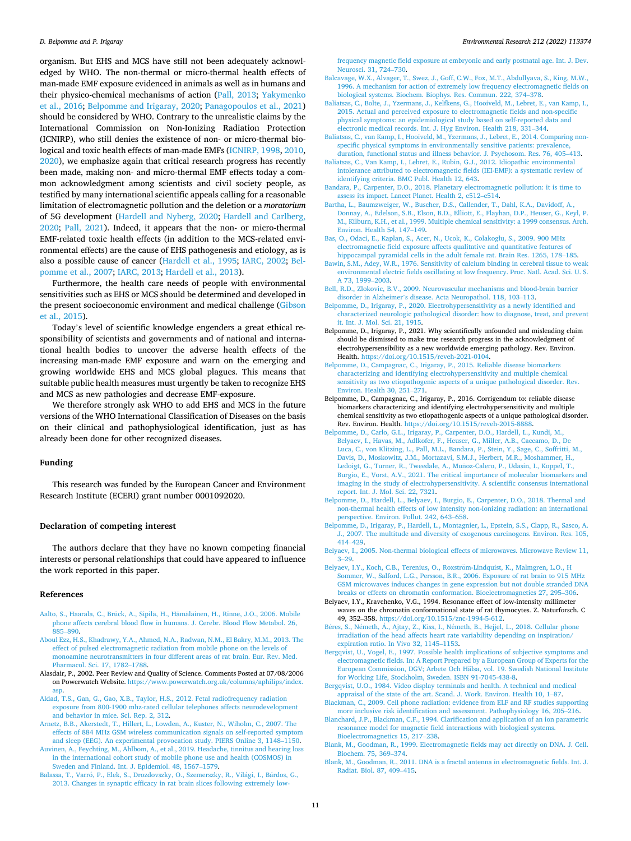<span id="page-10-0"></span>organism. But EHS and MCS have still not been adequately acknowledged by WHO. The non-thermal or micro-thermal health effects of man-made EMF exposure evidenced in animals as well as in humans and their physico-chemical mechanisms of action [\(Pall, 2013](#page-13-0); [Yakymenko](#page-14-0)  [et al., 2016](#page-14-0); Belpomme and Irigaray, 2020; [Panagopoulos et al., 2021\)](#page-13-0) should be considered by WHO. Contrary to the unrealistic claims by the International Commission on Non-Ionizing Radiation Protection (ICNIRP), who still denies the existence of non- or micro-thermal biological and toxic health effects of man-made EMFs ([ICNIRP, 1998](#page-12-0), [2010](#page-12-0), [2020\)](#page-12-0), we emphasize again that critical research progress has recently been made, making non- and micro-thermal EMF effects today a common acknowledgment among scientists and civil society people, as testified by many international scientific appeals calling for a reasonable limitation of electromagnetic pollution and the deletion or a *moratorium*  of 5G development [\(Hardell and Nyberg, 2020;](#page-12-0) [Hardell and Carlberg,](#page-11-0)  [2020;](#page-11-0) [Pall, 2021](#page-13-0)). Indeed, it appears that the non- or micro-thermal EMF-related toxic health effects (in addition to the MCS-related environmental effects) are the cause of EHS pathogenesis and etiology, as is also a possible cause of cancer [\(Hardell et al., 1995;](#page-12-0) [IARC, 2002;](#page-12-0) Belpomme et al., 2007; [IARC, 2013;](#page-12-0) [Hardell et al., 2013](#page-11-0)).

Furthermore, the health care needs of people with environmental sensitivities such as EHS or MCS should be determined and developed in the present socioeconomic environment and medical challenge [\(Gibson](#page-11-0)  [et al., 2015\)](#page-11-0).

Today's level of scientific knowledge engenders a great ethical responsibility of scientists and governments and of national and international health bodies to uncover the adverse health effects of the increasing man-made EMF exposure and warn on the emerging and growing worldwide EHS and MCS global plagues. This means that suitable public health measures must urgently be taken to recognize EHS and MCS as new pathologies and decrease EMF-exposure.

We therefore strongly ask WHO to add EHS and MCS in the future versions of the WHO International Classification of Diseases on the basis on their clinical and pathophysiological identification, just as has already been done for other recognized diseases.

### **Funding**

This research was funded by the European Cancer and Environment Research Institute (ECERI) grant number 0001092020.

#### **Declaration of competing interest**

The authors declare that they have no known competing financial interests or personal relationships that could have appeared to influence the work reported in this paper.

# **References**

- [Aalto, S., Haarala, C., Brück, A., Sipil](http://refhub.elsevier.com/S0013-9351(22)00701-0/sref1)ä, H., Hämäläinen, H., Rinne, J.O., 2006. Mobile [phone affects cerebral blood flow in humans. J. Cerebr. Blood Flow Metabol. 26,](http://refhub.elsevier.com/S0013-9351(22)00701-0/sref1)  885–[890](http://refhub.elsevier.com/S0013-9351(22)00701-0/sref1).
- [Aboul Ezz, H.S., Khadrawy, Y.A., Ahmed, N.A., Radwan, N.M., El Bakry, M.M., 2013. The](http://refhub.elsevier.com/S0013-9351(22)00701-0/sref2)  [effect of pulsed electromagnetic radiation from mobile phone on the levels of](http://refhub.elsevier.com/S0013-9351(22)00701-0/sref2)  [monoamine neurotransmitters in four different areas of rat brain. Eur. Rev. Med.](http://refhub.elsevier.com/S0013-9351(22)00701-0/sref2)  [Pharmacol. Sci. 17, 1782](http://refhub.elsevier.com/S0013-9351(22)00701-0/sref2)–1788.
- Alasdair, P., 2002. Peer Review and Quality of Science. Comments Posted at 07/08/2006 on Powerwatch Website. [https://www.powerwatch.org.uk/columns/aphilips/index.](https://www.powerwatch.org.uk/columns/aphilips/index.asp)  asp
- [Aldad, T.S., Gan, G., Gao, X.B., Taylor, H.S., 2012. Fetal radiofrequency radiation](http://refhub.elsevier.com/S0013-9351(22)00701-0/sref4) [exposure from 800-1900 mhz-rated cellular telephones affects neurodevelopment](http://refhub.elsevier.com/S0013-9351(22)00701-0/sref4) [and behavior in mice. Sci. Rep. 2, 312](http://refhub.elsevier.com/S0013-9351(22)00701-0/sref4).
- [Arnetz, B.B., Akerstedt, T., Hillert, L., Lowden, A., Kuster, N., Wiholm, C., 2007. The](http://refhub.elsevier.com/S0013-9351(22)00701-0/sref5) [effects of 884 MHz GSM wireless communication signals on self-reported symptom](http://refhub.elsevier.com/S0013-9351(22)00701-0/sref5) [and sleep \(EEG\). An experimental provocation study. PIERS Online 3, 1148](http://refhub.elsevier.com/S0013-9351(22)00701-0/sref5)–1150.
- [Auvinen, A., Feychting, M., Ahlbom, A., et al., 2019. Headache, tinnitus and hearing loss](http://refhub.elsevier.com/S0013-9351(22)00701-0/sref6)  [in the international cohort study of mobile phone use and health \(COSMOS\) in](http://refhub.elsevier.com/S0013-9351(22)00701-0/sref6) [Sweden and Finland. Int. J. Epidemiol. 48, 1567](http://refhub.elsevier.com/S0013-9351(22)00701-0/sref6)–1579.
- Balassa, T., Varró, [P., Elek, S., Drozdovszky, O., Szemerszky, R., Vil](http://refhub.elsevier.com/S0013-9351(22)00701-0/sref7)ági, I., Bárdos, G., [2013. Changes in synaptic efficacy in rat brain slices following extremely low-](http://refhub.elsevier.com/S0013-9351(22)00701-0/sref7)

[frequency magnetic field exposure at embryonic and early postnatal age. Int. J. Dev.](http://refhub.elsevier.com/S0013-9351(22)00701-0/sref7)  [Neurosci. 31, 724](http://refhub.elsevier.com/S0013-9351(22)00701-0/sref7)–730.

- [Balcavage, W.X., Alvager, T., Swez, J., Goff, C.W., Fox, M.T., Abdullyava, S., King, M.W.,](http://refhub.elsevier.com/S0013-9351(22)00701-0/sref8)  [1996. A mechanism for action of extremely low frequency electromagnetic fields on](http://refhub.elsevier.com/S0013-9351(22)00701-0/sref8)  [biological systems. Biochem. Biophys. Res. Commun. 222, 374](http://refhub.elsevier.com/S0013-9351(22)00701-0/sref8)–378.
- [Baliatsas, C., Bolte, J., Yzermans, J., Kelfkens, G., Hooiveld, M., Lebret, E., van Kamp, I.,](http://refhub.elsevier.com/S0013-9351(22)00701-0/sref9)  [2015. Actual and perceived exposure to electromagnetic fields and non-specific](http://refhub.elsevier.com/S0013-9351(22)00701-0/sref9) [physical symptoms: an epidemiological study based on self-reported data and](http://refhub.elsevier.com/S0013-9351(22)00701-0/sref9)  [electronic medical records. Int. J. Hyg Environ. Health 218, 331](http://refhub.elsevier.com/S0013-9351(22)00701-0/sref9)–344.
- [Baliatsas, C., van Kamp, I., Hooiveld, M., Yzermans, J., Lebret, E., 2014. Comparing non](http://refhub.elsevier.com/S0013-9351(22)00701-0/sref10)specific physical symptoms in environmentally sensitive patients: prevalence [duration, functional status and illness behavior. J. Psychosom. Res. 76, 405](http://refhub.elsevier.com/S0013-9351(22)00701-0/sref10)–413.
- [Baliatsas, C., Van Kamp, I., Lebret, E., Rubin, G.J., 2012. Idiopathic environmental](http://refhub.elsevier.com/S0013-9351(22)00701-0/sref11) [intolerance attributed to electromagnetic fields \(IEI-EMF\): a systematic review of](http://refhub.elsevier.com/S0013-9351(22)00701-0/sref11)  [identifying criteria. BMC Publ. Health 12, 643.](http://refhub.elsevier.com/S0013-9351(22)00701-0/sref11)
- [Bandara, P., Carpenter, D.O., 2018. Planetary electromagnetic pollution: it is time to](http://refhub.elsevier.com/S0013-9351(22)00701-0/sref12)  [assess its impact. Lancet Planet. Health 2, e512](http://refhub.elsevier.com/S0013-9351(22)00701-0/sref12)–e514.
- [Bartha, L., Baumzweiger, W., Buscher, D.S., Callender, T., Dahl, K.A., Davidoff, A.,](http://refhub.elsevier.com/S0013-9351(22)00701-0/sref13)  [Donnay, A., Edelson, S.B., Elson, B.D., Elliott, E., Flayhan, D.P., Heuser, G., Keyl, P.](http://refhub.elsevier.com/S0013-9351(22)00701-0/sref13)  [M., Kilburn, K.H., et al., 1999. Multiple chemical sensitivity: a 1999 consensus. Arch.](http://refhub.elsevier.com/S0013-9351(22)00701-0/sref13)  [Environ. Health 54, 147](http://refhub.elsevier.com/S0013-9351(22)00701-0/sref13)–149.
- [Bas, O., Odaci, E., Kaplan, S., Acer, N., Ucok, K., Colakoglu, S., 2009. 900 MHz](http://refhub.elsevier.com/S0013-9351(22)00701-0/sref14)  [electromagnetic field exposure affects qualitative and quantitative features of](http://refhub.elsevier.com/S0013-9351(22)00701-0/sref14) [hippocampal pyramidal cells in the adult female rat. Brain Res. 1265, 178](http://refhub.elsevier.com/S0013-9351(22)00701-0/sref14)-185.
- [Bawin, S.M., Adey, W.R., 1976. Sensitivity of calcium binding in cerebral tissue to weak](http://refhub.elsevier.com/S0013-9351(22)00701-0/sref15)  [environmental electric fields oscillating at low frequency. Proc. Natl. Acad. Sci. U. S.](http://refhub.elsevier.com/S0013-9351(22)00701-0/sref15)  [A 73, 1999](http://refhub.elsevier.com/S0013-9351(22)00701-0/sref15)–2003.
- [Bell, R.D., Zlokovic, B.V., 2009. Neurovascular mechanisms and blood-brain barrier](http://refhub.elsevier.com/S0013-9351(22)00701-0/sref16)  disorder in Alzheimer'[s disease. Acta Neuropathol. 118, 103](http://refhub.elsevier.com/S0013-9351(22)00701-0/sref16)–113.
- [Belpomme, D., Irigaray, P., 2020. Electrohypersensitivity as a newly identified and](http://refhub.elsevier.com/S0013-9351(22)00701-0/sref17) [characterized neurologic pathological disorder: how to diagnose, treat, and prevent](http://refhub.elsevier.com/S0013-9351(22)00701-0/sref17)  [it. Int. J. Mol. Sci. 21, 1915.](http://refhub.elsevier.com/S0013-9351(22)00701-0/sref17)
- Belpomme, D., Irigaray, P., 2021. Why scientifically unfounded and misleading claim should be dismissed to make true research progress in the acknowledgment of electrohypersensibility as a new worldwide emerging pathology. Rev. Environ. Health. [https://doi.org/10.1515/reveh-2021-0104.](https://doi.org/10.1515/reveh-2021-0104)
- [Belpomme, D., Campagnac, C., Irigaray, P., 2015. Reliable disease biomarkers](http://refhub.elsevier.com/S0013-9351(22)00701-0/sref19) [characterizing and identifying electrohypersensitivity and multiple chemical](http://refhub.elsevier.com/S0013-9351(22)00701-0/sref19) [sensitivity as two etiopathogenic aspects of a unique pathological disorder. Rev.](http://refhub.elsevier.com/S0013-9351(22)00701-0/sref19) [Environ. Health 30, 251](http://refhub.elsevier.com/S0013-9351(22)00701-0/sref19)–271.
- Belpomme, D., Campagnac, C., Irigaray, P., 2016. Corrigendum to: reliable disease biomarkers characterizing and identifying electrohypersensitivity and multiple chemical sensitivity as two etiopathogenic aspects of a unique pathological disorder. Rev. Environ. Health. <https://doi.org/10.1515/reveh-2015-8888>.
- [Belpomme, D., Carlo, G.L., Irigaray, P., Carpenter, D.O., Hardell, L., Kundi, M.,](http://refhub.elsevier.com/S0013-9351(22)00701-0/sref21)  [Belyaev, I., Havas, M., Adlkofer, F., Heuser, G., Miller, A.B., Caccamo, D., De](http://refhub.elsevier.com/S0013-9351(22)00701-0/sref21) [Luca, C., von Klitzing, L., Pall, M.L., Bandara, P., Stein, Y., Sage, C., Soffritti, M.,](http://refhub.elsevier.com/S0013-9351(22)00701-0/sref21)  [Davis, D., Moskowitz, J.M., Mortazavi, S.M.J., Herbert, M.R., Moshammer, H.,](http://refhub.elsevier.com/S0013-9351(22)00701-0/sref21) Ledoigt, G., Turner, R., Tweedale, A., Muñoz-Calero, P., Udasin, I., Koppel, T., [Burgio, E., Vorst, A.V., 2021. The critical importance of molecular biomarkers and](http://refhub.elsevier.com/S0013-9351(22)00701-0/sref21) [imaging in the study of electrohypersensitivity. A scientific consensus international](http://refhub.elsevier.com/S0013-9351(22)00701-0/sref21)  [report. Int. J. Mol. Sci. 22, 7321.](http://refhub.elsevier.com/S0013-9351(22)00701-0/sref21)
- [Belpomme, D., Hardell, L., Belyaev, I., Burgio, E., Carpenter, D.O., 2018. Thermal and](http://refhub.elsevier.com/S0013-9351(22)00701-0/sref22) [non-thermal health effects of low intensity non-ionizing radiation: an international](http://refhub.elsevier.com/S0013-9351(22)00701-0/sref22) [perspective. Environ. Pollut. 242, 643](http://refhub.elsevier.com/S0013-9351(22)00701-0/sref22)–658.
- [Belpomme, D., Irigaray, P., Hardell, L., Montagnier, L., Epstein, S.S., Clapp, R., Sasco, A.](http://refhub.elsevier.com/S0013-9351(22)00701-0/sref23)  [J., 2007. The multitude and diversity of exogenous carcinogens. Environ. Res. 105,](http://refhub.elsevier.com/S0013-9351(22)00701-0/sref23)  414–[429](http://refhub.elsevier.com/S0013-9351(22)00701-0/sref23).
- [Belyaev, I., 2005. Non-thermal biological effects of microwaves. Microwave Review 11,](http://refhub.elsevier.com/S0013-9351(22)00701-0/sref24)  3–[29.](http://refhub.elsevier.com/S0013-9351(22)00701-0/sref24)
- Belyaev, I.Y., Koch, C.B., Terenius, O., Roxström-Lindquist, K., Malmgren, L.O., H [Sommer, W., Salford, L.G., Persson, B.R., 2006. Exposure of rat brain to 915 MHz](http://refhub.elsevier.com/S0013-9351(22)00701-0/sref25) [GSM microwaves induces changes in gene expression but not double stranded DNA](http://refhub.elsevier.com/S0013-9351(22)00701-0/sref25)  [breaks or effects on chromatin conformation. Bioelectromagnetics 27, 295](http://refhub.elsevier.com/S0013-9351(22)00701-0/sref25)–306.
- Belyaev, I.Y., Kravchenko, V.G., 1994. Resonance effect of low-intensity millimeter waves on the chromatin conformational state of rat thymocytes. Z. Naturforsch. C 49, 352–358.<https://doi.org/10.1515/znc-1994-5-612>.
- Béres, S., Németh, Á., Ajtay, Z., Kiss, I., Németh, B., Hejjel, L., 2018. Cellular phone [irradiation of the head affects heart rate variability depending on inspiration/](http://refhub.elsevier.com/S0013-9351(22)00701-0/sref26) [expiration ratio. In Vivo 32, 1145](http://refhub.elsevier.com/S0013-9351(22)00701-0/sref26)–1153.
- [Bergqvist, U., Vogel, E., 1997. Possible health implications of subjective symptoms and](http://refhub.elsevier.com/S0013-9351(22)00701-0/sref27) [electromagnetic fields. In: A Report Prepared by a European Group of Experts for the](http://refhub.elsevier.com/S0013-9351(22)00701-0/sref27)  European Commission, DGV; Arbete Och Hälsa, vol. 19. Swedish National Institute [for Working Life, Stockholm, Sweden. ISBN 91-7045-438-8.](http://refhub.elsevier.com/S0013-9351(22)00701-0/sref27)
- [Bergqvist, U.O., 1984. Video display terminals and health. A technical and medical](http://refhub.elsevier.com/S0013-9351(22)00701-0/sref28) [appraisal of the state of the art. Scand. J. Work. Environ. Health 10, 1](http://refhub.elsevier.com/S0013-9351(22)00701-0/sref28)–87.
- [Blackman, C., 2009. Cell phone radiation: evidence from ELF and RF studies supporting](http://refhub.elsevier.com/S0013-9351(22)00701-0/sref29)  [more inclusive risk identification and assessment. Pathophysiology 16, 205](http://refhub.elsevier.com/S0013-9351(22)00701-0/sref29)–216.
- [Blanchard, J.P., Blackman, C.F., 1994. Clarification and application of an ion parametric](http://refhub.elsevier.com/S0013-9351(22)00701-0/sref30)  [resonance model for magnetic field interactions with biological systems.](http://refhub.elsevier.com/S0013-9351(22)00701-0/sref30)  [Bioelectromagnetics 15, 217](http://refhub.elsevier.com/S0013-9351(22)00701-0/sref30)–238.
- [Blank, M., Goodman, R., 1999. Electromagnetic fields may act directly on DNA. J. Cell.](http://refhub.elsevier.com/S0013-9351(22)00701-0/sref31)  [Biochem. 75, 369](http://refhub.elsevier.com/S0013-9351(22)00701-0/sref31)–374.
- [Blank, M., Goodman, R., 2011. DNA is a fractal antenna in electromagnetic fields. Int. J.](http://refhub.elsevier.com/S0013-9351(22)00701-0/sref32)  [Radiat. Biol. 87, 409](http://refhub.elsevier.com/S0013-9351(22)00701-0/sref32)–415.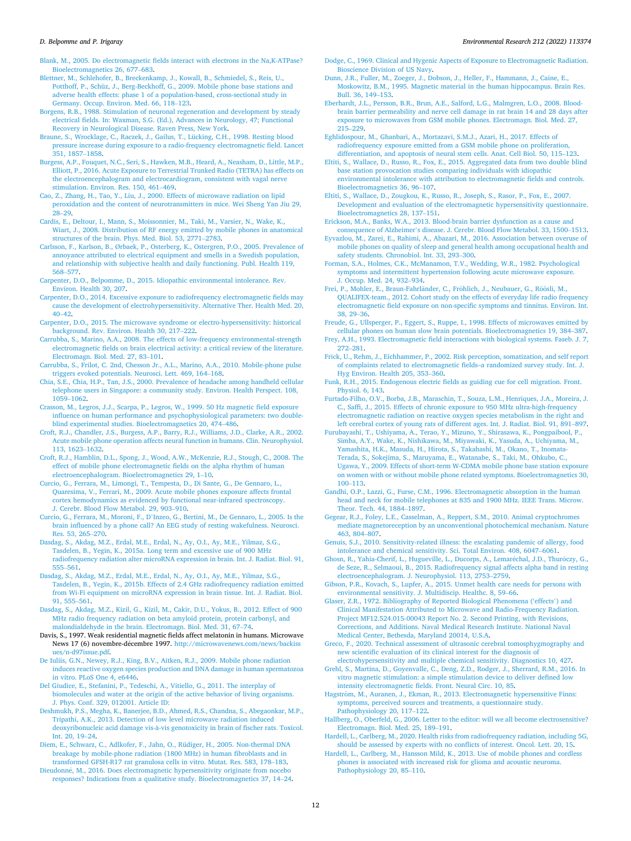<span id="page-11-0"></span>[Blank, M., 2005. Do electromagnetic fields interact with electrons in the Na,K-ATPase?](http://refhub.elsevier.com/S0013-9351(22)00701-0/sref33) [Bioelectromagnetics 26, 677](http://refhub.elsevier.com/S0013-9351(22)00701-0/sref33)–683.

[Blettner, M., Schlehofer, B., Breckenkamp, J., Kowall, B., Schmiedel, S., Reis, U.,](http://refhub.elsevier.com/S0013-9351(22)00701-0/sref34) [Potthoff, P., Schüz, J., Berg-Beckhoff, G., 2009. Mobile phone base stations and](http://refhub.elsevier.com/S0013-9351(22)00701-0/sref34)  [adverse health effects: phase 1 of a population-based, cross-sectional study in](http://refhub.elsevier.com/S0013-9351(22)00701-0/sref34)  [Germany. Occup. Environ. Med. 66, 118](http://refhub.elsevier.com/S0013-9351(22)00701-0/sref34)–123.

[Borgens, R.B., 1988. Stimulation of neuronal regeneration and development by steady](http://refhub.elsevier.com/S0013-9351(22)00701-0/sref35)  [electrical fields. In: Waxman, S.G. \(Ed.\), Advances in Neurology, 47; Functional](http://refhub.elsevier.com/S0013-9351(22)00701-0/sref35)  [Recovery in Neurological Disease. Raven Press, New York.](http://refhub.elsevier.com/S0013-9351(22)00701-0/sref35)

[Braune, S., Wrocklage, C., Raczek, J., Gailus, T., Lücking, C.H., 1998. Resting blood](http://refhub.elsevier.com/S0013-9351(22)00701-0/sref36) [pressure increase during exposure to a radio-frequency electromagnetic field. Lancet](http://refhub.elsevier.com/S0013-9351(22)00701-0/sref36)  [351, 1857](http://refhub.elsevier.com/S0013-9351(22)00701-0/sref36)–1858.

[Burgess, A.P., Fouquet, N.C., Seri, S., Hawken, M.B., Heard, A., Neasham, D., Little, M.P.,](http://refhub.elsevier.com/S0013-9351(22)00701-0/sref37)  [Elliott, P., 2016. Acute Exposure to Terrestrial Trunked Radio \(TETRA\) has effects on](http://refhub.elsevier.com/S0013-9351(22)00701-0/sref37)  [the electroencephalogram and electrocardiogram, consistent with vagal nerve](http://refhub.elsevier.com/S0013-9351(22)00701-0/sref37) [stimulation. Environ. Res. 150, 461](http://refhub.elsevier.com/S0013-9351(22)00701-0/sref37)–469.

[Cao, Z., Zhang, H., Tao, Y., Liu, J., 2000. Effects of microwave radiation on lipid](http://refhub.elsevier.com/S0013-9351(22)00701-0/sref38) [peroxidation and the content of neurotransmitters in mice. Wei Sheng Yan Jiu 29,](http://refhub.elsevier.com/S0013-9351(22)00701-0/sref38)  28–[29](http://refhub.elsevier.com/S0013-9351(22)00701-0/sref38).

[Cardis, E., Deltour, I., Mann, S., Moissonnier, M., Taki, M., Varsier, N., Wake, K.,](http://refhub.elsevier.com/S0013-9351(22)00701-0/sref39) [Wiart, J., 2008. Distribution of RF energy emitted by mobile phones in anatomical](http://refhub.elsevier.com/S0013-9351(22)00701-0/sref39) [structures of the brain. Phys. Med. Biol. 53, 2771](http://refhub.elsevier.com/S0013-9351(22)00701-0/sref39)–2783.

Carlsson, F., Karlson, B., Ø[rbaek, P., Osterberg, K., Ostergren, P.O., 2005. Prevalence of](http://refhub.elsevier.com/S0013-9351(22)00701-0/sref40)  [annoyance attributed to electrical equipment and smells in a Swedish population,](http://refhub.elsevier.com/S0013-9351(22)00701-0/sref40)  [and relationship with subjective health and daily functioning. Publ. Health 119,](http://refhub.elsevier.com/S0013-9351(22)00701-0/sref40) 568–[577](http://refhub.elsevier.com/S0013-9351(22)00701-0/sref40).

[Carpenter, D.O., Belpomme, D., 2015. Idiopathic environmental intolerance. Rev.](http://refhub.elsevier.com/S0013-9351(22)00701-0/sref41) [Environ. Health 30, 207](http://refhub.elsevier.com/S0013-9351(22)00701-0/sref41).

- [Carpenter, D.O., 2014. Excessive exposure to radiofrequency electromagnetic fields may](http://refhub.elsevier.com/S0013-9351(22)00701-0/sref42)  [cause the development of electrohypersensitivity. Alternative Ther. Health Med. 20,](http://refhub.elsevier.com/S0013-9351(22)00701-0/sref42)  40–[42](http://refhub.elsevier.com/S0013-9351(22)00701-0/sref42).
- [Carpenter, D.O., 2015. The microwave syndrome or electro-hypersensitivity: historical](http://refhub.elsevier.com/S0013-9351(22)00701-0/sref43) [background. Rev. Environ. Health 30, 217](http://refhub.elsevier.com/S0013-9351(22)00701-0/sref43)–222.
- [Carrubba, S., Marino, A.A., 2008. The effects of low-frequency environmental-strength](http://refhub.elsevier.com/S0013-9351(22)00701-0/sref44)  [electromagnetic fields on brain electrical activity: a critical review of the literature.](http://refhub.elsevier.com/S0013-9351(22)00701-0/sref44)  [Electromagn. Biol. Med. 27, 83](http://refhub.elsevier.com/S0013-9351(22)00701-0/sref44)–101.

[Carrubba, S., Frilot, C. 2nd, Chesson Jr., A.L., Marino, A.A., 2010. Mobile-phone pulse](http://refhub.elsevier.com/S0013-9351(22)00701-0/sref45)  [triggers evoked potentials. Neurosci. Lett. 469, 164](http://refhub.elsevier.com/S0013-9351(22)00701-0/sref45)–168.

[Chia, S.E., Chia, H.P., Tan, J.S., 2000. Prevalence of headache among handheld cellular](http://refhub.elsevier.com/S0013-9351(22)00701-0/sref46)  [telephone users in Singapore: a community study. Environ. Health Perspect. 108,](http://refhub.elsevier.com/S0013-9351(22)00701-0/sref46) [1059](http://refhub.elsevier.com/S0013-9351(22)00701-0/sref46)–1062.

[Crasson, M., Legros, J.J., Scarpa, P., Legros, W., 1999. 50 Hz magnetic field exposure](http://refhub.elsevier.com/S0013-9351(22)00701-0/sref47)  [influence on human performance and psychophysiological parameters: two double](http://refhub.elsevier.com/S0013-9351(22)00701-0/sref47)[blind experimental studies. Bioelectromagnetics 20, 474](http://refhub.elsevier.com/S0013-9351(22)00701-0/sref47)–486.

[Croft, R.J., Chandler, J.S., Burgess, A.P., Barry, R.J., Williams, J.D., Clarke, A.R., 2002.](http://refhub.elsevier.com/S0013-9351(22)00701-0/sref48)  Acute mobile phone operation affects neural function in humans. Clin. Neurophysiol. [113, 1623](http://refhub.elsevier.com/S0013-9351(22)00701-0/sref48)–1632.

[Croft, R.J., Hamblin, D.L., Spong, J., Wood, A.W., McKenzie, R.J., Stough, C., 2008. The](http://refhub.elsevier.com/S0013-9351(22)00701-0/sref49)  [effect of mobile phone electromagnetic fields on the alpha rhythm of human](http://refhub.elsevier.com/S0013-9351(22)00701-0/sref49)  [electroencephalogram. Bioelectromagnetics 29, 1](http://refhub.elsevier.com/S0013-9351(22)00701-0/sref49)–10.

[Curcio, G., Ferrara, M., Limongi, T., Tempesta, D., Di Sante, G., De Gennaro, L.,](http://refhub.elsevier.com/S0013-9351(22)00701-0/sref50)  [Quaresima, V., Ferrari, M., 2009. Acute mobile phones exposure affects frontal](http://refhub.elsevier.com/S0013-9351(22)00701-0/sref50)  [cortex hemodynamics as evidenced by functional near-infrared spectroscopy.](http://refhub.elsevier.com/S0013-9351(22)00701-0/sref50) [J. Cerebr. Blood Flow Metabol. 29, 903](http://refhub.elsevier.com/S0013-9351(22)00701-0/sref50)–910.

Curcio, G., Ferrara, M., Moroni, F., D'[Inzeo, G., Bertini, M., De Gennaro, L., 2005. Is the](http://refhub.elsevier.com/S0013-9351(22)00701-0/sref51)  [brain influenced by a phone call? An EEG study of resting wakefulness. Neurosci.](http://refhub.elsevier.com/S0013-9351(22)00701-0/sref51)  [Res. 53, 265](http://refhub.elsevier.com/S0013-9351(22)00701-0/sref51)–270.

[Dasdag, S., Akdag, M.Z., Erdal, M.E., Erdal, N., Ay, O.I., Ay, M.E., Yilmaz, S.G.,](http://refhub.elsevier.com/S0013-9351(22)00701-0/sref52)  [Tasdelen, B., Yegin, K., 2015a. Long term and excessive use of 900 MHz](http://refhub.elsevier.com/S0013-9351(22)00701-0/sref52) [radiofrequency radiation alter microRNA expression in brain. Int. J. Radiat. Biol. 91,](http://refhub.elsevier.com/S0013-9351(22)00701-0/sref52)  555–[561](http://refhub.elsevier.com/S0013-9351(22)00701-0/sref52).

[Dasdag, S., Akdag, M.Z., Erdal, M.E., Erdal, N., Ay, O.I., Ay, M.E., Yilmaz, S.G.,](http://refhub.elsevier.com/S0013-9351(22)00701-0/sref53)  [Tasdelen, B., Yegin, K., 2015b. Effects of 2.4 GHz radiofrequency radiation emitted](http://refhub.elsevier.com/S0013-9351(22)00701-0/sref53)  [from Wi-Fi equipment on microRNA expression in brain tissue. Int. J. Radiat. Biol.](http://refhub.elsevier.com/S0013-9351(22)00701-0/sref53)  [91, 555](http://refhub.elsevier.com/S0013-9351(22)00701-0/sref53)–561.

[Dasdag, S., Akdag, M.Z., Kizil, G., Kizil, M., Cakir, D.U., Yokus, B., 2012. Effect of 900](http://refhub.elsevier.com/S0013-9351(22)00701-0/sref54) [MHz radio frequency radiation on beta amyloid protein, protein carbonyl, and](http://refhub.elsevier.com/S0013-9351(22)00701-0/sref54)  [malondialdehyde in the brain. Electromagn. Biol. Med. 31, 67](http://refhub.elsevier.com/S0013-9351(22)00701-0/sref54)–74.

Davis, S., 1997. Weak residential magnetic fields affect melatonin in humans. Microwave News 17 (6) novembre-décembre 1997. http://microwavenews.com/news/backiss [ues/n-d97issue.pdf](http://microwavenews.com/news/backissues/n-d97issue.pdf).

[De Iuliis, G.N., Newey, R.J., King, B.V., Aitken, R.J., 2009. Mobile phone radiation](http://refhub.elsevier.com/S0013-9351(22)00701-0/sref56) [induces reactive oxygen species production and DNA damage in human spermatozoa](http://refhub.elsevier.com/S0013-9351(22)00701-0/sref56)  [in vitro. PLoS One 4, e6446](http://refhub.elsevier.com/S0013-9351(22)00701-0/sref56).

[Del Giudice, E., Stefanini, P., Tedeschi, A., Vitiello, G., 2011. The interplay of](http://refhub.elsevier.com/S0013-9351(22)00701-0/sref57)  [biomolecules and water at the origin of the active behavior of living organisms.](http://refhub.elsevier.com/S0013-9351(22)00701-0/sref57)  [J. Phys. Conf. 329, 012001. Article ID:](http://refhub.elsevier.com/S0013-9351(22)00701-0/sref57)

[Deshmukh, P.S., Megha, K., Banerjee, B.D., Ahmed, R.S., Chandna, S., Abegaonkar, M.P.,](http://refhub.elsevier.com/S0013-9351(22)00701-0/sref58)  [Tripathi, A.K., 2013. Detection of low level microwave radiation induced](http://refhub.elsevier.com/S0013-9351(22)00701-0/sref58)  deoxyribonucleic acid damage vis-à-vis genotoxicity in brain of fischer rats. Toxicol. [Int. 20, 19](http://refhub.elsevier.com/S0013-9351(22)00701-0/sref58)–24.

[Diem, E., Schwarz, C., Adlkofer, F., Jahn, O., Rüdiger, H., 2005. Non-thermal DNA](http://refhub.elsevier.com/S0013-9351(22)00701-0/sref59) [breakage by mobile-phone radiation \(1800 MHz\) in human fibroblasts and in](http://refhub.elsevier.com/S0013-9351(22)00701-0/sref59)  [transformed GFSH-R17 rat granulosa cells in vitro. Mutat. Res. 583, 178](http://refhub.elsevier.com/S0013-9351(22)00701-0/sref59)–183.

Dieudonné, M., 2016. Does electromagnetic hypersensitivity originate from nocebo [responses? Indications from a qualitative study. Bioelectromagnetics 37, 14](http://refhub.elsevier.com/S0013-9351(22)00701-0/sref60)–24. [Dodge, C., 1969. Clinical and Hygenic Aspects of Exposure to Electromagnetic Radiation.](http://refhub.elsevier.com/S0013-9351(22)00701-0/sref61)  [Bioscience Division of US Navy.](http://refhub.elsevier.com/S0013-9351(22)00701-0/sref61)

- [Dunn, J.R., Fuller, M., Zoeger, J., Dobson, J., Heller, F., Hammann, J., Caine, E.,](http://refhub.elsevier.com/S0013-9351(22)00701-0/sref62) [Moskowitz, B.M., 1995. Magnetic material in the human hippocampus. Brain Res.](http://refhub.elsevier.com/S0013-9351(22)00701-0/sref62)  [Bull. 36, 149](http://refhub.elsevier.com/S0013-9351(22)00701-0/sref62)–153.
- [Eberhardt, J.L., Persson, B.R., Brun, A.E., Salford, L.G., Malmgren, L.O., 2008. Blood](http://refhub.elsevier.com/S0013-9351(22)00701-0/sref63)[brain barrier permeability and nerve cell damage in rat brain 14 and 28 days after](http://refhub.elsevier.com/S0013-9351(22)00701-0/sref63) [exposure to microwaves from GSM mobile phones. Electromagn. Biol. Med. 27,](http://refhub.elsevier.com/S0013-9351(22)00701-0/sref63) 215–[229](http://refhub.elsevier.com/S0013-9351(22)00701-0/sref63).

[Eghlidospour, M., Ghanbari, A., Mortazavi, S.M.J., Azari, H., 2017. Effects of](http://refhub.elsevier.com/S0013-9351(22)00701-0/sref64)  [radiofrequency exposure emitted from a GSM mobile phone on proliferation,](http://refhub.elsevier.com/S0013-9351(22)00701-0/sref64) [differentiation, and apoptosis of neural stem cells. Anat. Cell Biol. 50, 115](http://refhub.elsevier.com/S0013-9351(22)00701-0/sref64)–123.

[Eltiti, S., Wallace, D., Russo, R., Fox, E., 2015. Aggregated data from two double blind](http://refhub.elsevier.com/S0013-9351(22)00701-0/sref65) [base station provocation studies comparing individuals with idiopathic](http://refhub.elsevier.com/S0013-9351(22)00701-0/sref65)  [environmental intolerance with attribution to electromagnetic fields and controls.](http://refhub.elsevier.com/S0013-9351(22)00701-0/sref65) [Bioelectromagnetics 36, 96](http://refhub.elsevier.com/S0013-9351(22)00701-0/sref65)–107.

[Eltiti, S., Wallace, D., Zougkou, K., Russo, R., Joseph, S., Rasor, P., Fox, E., 2007.](http://refhub.elsevier.com/S0013-9351(22)00701-0/sref66) [Development and evaluation of the electromagnetic hypersensitivity questionnaire.](http://refhub.elsevier.com/S0013-9351(22)00701-0/sref66)  [Bioelectromagnetics 28, 137](http://refhub.elsevier.com/S0013-9351(22)00701-0/sref66)–151.

[Erickson, M.A., Banks, W.A., 2013. Blood-brain barrier dysfunction as a cause and](http://refhub.elsevier.com/S0013-9351(22)00701-0/sref67)  consequence of Alzheimer'[s disease. J. Cerebr. Blood Flow Metabol. 33, 1500](http://refhub.elsevier.com/S0013-9351(22)00701-0/sref67)–1513.

[Eyvazlou, M., Zarei, E., Rahimi, A., Abazari, M., 2016. Association between overuse of](http://refhub.elsevier.com/S0013-9351(22)00701-0/sref68) [mobile phones on quality of sleep and general health among occupational health and](http://refhub.elsevier.com/S0013-9351(22)00701-0/sref68)  [safety students. Chronobiol. Int. 33, 293](http://refhub.elsevier.com/S0013-9351(22)00701-0/sref68)–300.

[Forman, S.A., Holmes, C.K., McManamon, T.V., Wedding, W.R., 1982. Psychological](http://refhub.elsevier.com/S0013-9351(22)00701-0/sref69) [symptoms and intermittent hypertension following acute microwave exposure.](http://refhub.elsevier.com/S0013-9351(22)00701-0/sref69)  [J. Occup. Med. 24, 932](http://refhub.elsevier.com/S0013-9351(22)00701-0/sref69)–934.

Frei, P., Mohler, E., Braun-Fahrländer, C., Fröhlich, J., Neubauer, G., Röösli, M., [QUALIFEX-team., 2012. Cohort study on the effects of everyday life radio frequency](http://refhub.elsevier.com/S0013-9351(22)00701-0/sref70)  [electromagnetic field exposure on non-specific symptoms and tinnitus. Environ. Int.](http://refhub.elsevier.com/S0013-9351(22)00701-0/sref70)  [38, 29](http://refhub.elsevier.com/S0013-9351(22)00701-0/sref70)–36.

[Freude, G., Ullsperger, P., Eggert, S., Ruppe, I., 1998. Effects of microwaves emitted by](http://refhub.elsevier.com/S0013-9351(22)00701-0/sref71)  [cellular phones on human slow brain potentials. Bioelectromagnetics 19, 384](http://refhub.elsevier.com/S0013-9351(22)00701-0/sref71)–387.

[Frey, A.H., 1993. Electromagnetic field interactions with biological systems. Faseb. J. 7,](http://refhub.elsevier.com/S0013-9351(22)00701-0/sref72)  272–[281](http://refhub.elsevier.com/S0013-9351(22)00701-0/sref72).

[Frick, U., Rehm, J., Eichhammer, P., 2002. Risk perception, somatization, and self report](http://refhub.elsevier.com/S0013-9351(22)00701-0/sref73)  [of complaints related to electromagnetic fields–a randomized survey study. Int. J.](http://refhub.elsevier.com/S0013-9351(22)00701-0/sref73)  [Hyg Environ. Health 205, 353](http://refhub.elsevier.com/S0013-9351(22)00701-0/sref73)–360.

[Funk, R.H., 2015. Endogenous electric fields as guiding cue for cell migration. Front.](http://refhub.elsevier.com/S0013-9351(22)00701-0/sref74)  [Physiol. 6, 143](http://refhub.elsevier.com/S0013-9351(22)00701-0/sref74).

[Furtado-Filho, O.V., Borba, J.B., Maraschin, T., Souza, L.M., Henriques, J.A., Moreira, J.](http://refhub.elsevier.com/S0013-9351(22)00701-0/sref75)  [C., Saffi, J., 2015. Effects of chronic exposure to 950 MHz ultra-high-frequency](http://refhub.elsevier.com/S0013-9351(22)00701-0/sref75)  [electromagnetic radiation on reactive oxygen species metabolism in the right and](http://refhub.elsevier.com/S0013-9351(22)00701-0/sref75) [left cerebral cortex of young rats of different ages. Int. J. Radiat. Biol. 91, 891](http://refhub.elsevier.com/S0013-9351(22)00701-0/sref75)–897.

[Furubayashi, T., Ushiyama, A., Terao, Y., Mizuno, Y., Shirasawa, K., Pongpaibool, P.,](http://refhub.elsevier.com/S0013-9351(22)00701-0/sref76)  [Simba, A.Y., Wake, K., Nishikawa, M., Miyawaki, K., Yasuda, A., Uchiyama, M.,](http://refhub.elsevier.com/S0013-9351(22)00701-0/sref76)  [Yamashita, H.K., Masuda, H., Hirota, S., Takahashi, M., Okano, T., Inomata-](http://refhub.elsevier.com/S0013-9351(22)00701-0/sref76)[Terada, S., Sokejima, S., Maruyama, E., Watanabe, S., Taki, M., Ohkubo, C.,](http://refhub.elsevier.com/S0013-9351(22)00701-0/sref76)  [Ugawa, Y., 2009. Effects of short-term W-CDMA mobile phone base station exposure](http://refhub.elsevier.com/S0013-9351(22)00701-0/sref76)  [on women with or without mobile phone related symptoms. Bioelectromagnetics 30,](http://refhub.elsevier.com/S0013-9351(22)00701-0/sref76)  100–[113](http://refhub.elsevier.com/S0013-9351(22)00701-0/sref76).

[Gandhi, O.P., Lazzi, G., Furse, C.M., 1996. Electromagnetic absorption in the human](http://refhub.elsevier.com/S0013-9351(22)00701-0/sref77)  [head and neck for mobile telephones at 835 and 1900 MHz. IEEE Trans. Microw.](http://refhub.elsevier.com/S0013-9351(22)00701-0/sref77) [Theor. Tech. 44, 1884](http://refhub.elsevier.com/S0013-9351(22)00701-0/sref77)–1897.

[Gegear, R.J., Foley, L.E., Casselman, A., Reppert, S.M., 2010. Animal cryptochromes](http://refhub.elsevier.com/S0013-9351(22)00701-0/sref78) [mediate magnetoreception by an unconventional photochemical mechanism. Nature](http://refhub.elsevier.com/S0013-9351(22)00701-0/sref78)  [463, 804](http://refhub.elsevier.com/S0013-9351(22)00701-0/sref78)–807.

[Genuis, S.J., 2010. Sensitivity-related illness: the escalating pandemic of allergy, food](http://refhub.elsevier.com/S0013-9351(22)00701-0/sref79) [intolerance and chemical sensitivity. Sci. Total Environ. 408, 6047](http://refhub.elsevier.com/S0013-9351(22)00701-0/sref79)–6061.

[Ghosn, R., Yahia-Cherif, L., Hugueville, L., Ducorps, A., Lemar](http://refhub.elsevier.com/S0013-9351(22)00701-0/sref80)échal, J.D., Thuróczy, G., [de Seze, R., Selmaoui, B., 2015. Radiofrequency signal affects alpha band in resting](http://refhub.elsevier.com/S0013-9351(22)00701-0/sref80)  [electroencephalogram. J. Neurophysiol. 113, 2753](http://refhub.elsevier.com/S0013-9351(22)00701-0/sref80)–2759.

[Gibson, P.R., Kovach, S., Lupfer, A., 2015. Unmet health care needs for persons with](http://refhub.elsevier.com/S0013-9351(22)00701-0/sref81)  [environmental sensitivity. J. Multidiscip. Healthc. 8, 59](http://refhub.elsevier.com/S0013-9351(22)00701-0/sref81)–66.

[Glaser, Z.R., 1972. Bibliography of Reported Biological Phenomena \('effects](http://refhub.elsevier.com/S0013-9351(22)00701-0/sref82)') and [Clinical Manifestation Attributed to Microwave and Radio-Frequency Radiation.](http://refhub.elsevier.com/S0013-9351(22)00701-0/sref82)  [Project MF12.524.015-00043 Report No. 2. Second Printing, with Revisions,](http://refhub.elsevier.com/S0013-9351(22)00701-0/sref82)  [Corrections, and Additions. Naval Medical Research Institute. National Naval](http://refhub.elsevier.com/S0013-9351(22)00701-0/sref82)  [Medical Center, Bethesda, Maryland 20014, U.S.A](http://refhub.elsevier.com/S0013-9351(22)00701-0/sref82).

[Greco, F., 2020. Technical assessment of ultrasonic cerebral tomosphygmography and](http://refhub.elsevier.com/S0013-9351(22)00701-0/sref83)  [new scientific evaluation of its clinical interest for the diagnosis of](http://refhub.elsevier.com/S0013-9351(22)00701-0/sref83) [electrohypersensitivity and multiple chemical sensitivity. Diagnostics 10, 427](http://refhub.elsevier.com/S0013-9351(22)00701-0/sref83).

[Grehl, S., Martina, D., Goyenvalle, C., Deng, Z.D., Rodger, J., Sherrard, R.M., 2016. In](http://refhub.elsevier.com/S0013-9351(22)00701-0/sref84)  [vitro magnetic stimulation: a simple stimulation device to deliver defined low](http://refhub.elsevier.com/S0013-9351(22)00701-0/sref84) [intensity electromagnetic fields. Front. Neural Circ. 10, 85](http://refhub.elsevier.com/S0013-9351(22)00701-0/sref84).

Hagström, M., Auranen, J., Ekman, R., 2013. Electromagnetic hypersensitive Finns: [symptoms, perceived sources and treatments, a questionnaire study.](http://refhub.elsevier.com/S0013-9351(22)00701-0/sref85)  [Pathophysiology 20, 117](http://refhub.elsevier.com/S0013-9351(22)00701-0/sref85)–122.

[Hallberg, O., Oberfeld, G., 2006. Letter to the editor: will we all become electrosensitive?](http://refhub.elsevier.com/S0013-9351(22)00701-0/sref86)  [Electromagn. Biol. Med. 25, 189](http://refhub.elsevier.com/S0013-9351(22)00701-0/sref86)–191.

[Hardell, L., Carlberg, M., 2020. Health risks from radiofrequency radiation, including 5G,](http://refhub.elsevier.com/S0013-9351(22)00701-0/sref87)  [should be assessed by experts with no conflicts of interest. Oncol. Lett. 20, 15](http://refhub.elsevier.com/S0013-9351(22)00701-0/sref87).

[Hardell, L., Carlberg, M., Hansson Mild, K., 2013. Use of mobile phones and cordless](http://refhub.elsevier.com/S0013-9351(22)00701-0/sref88)  [phones is associated with increased risk for glioma and acoustic neuroma.](http://refhub.elsevier.com/S0013-9351(22)00701-0/sref88) [Pathophysiology 20, 85](http://refhub.elsevier.com/S0013-9351(22)00701-0/sref88)–110.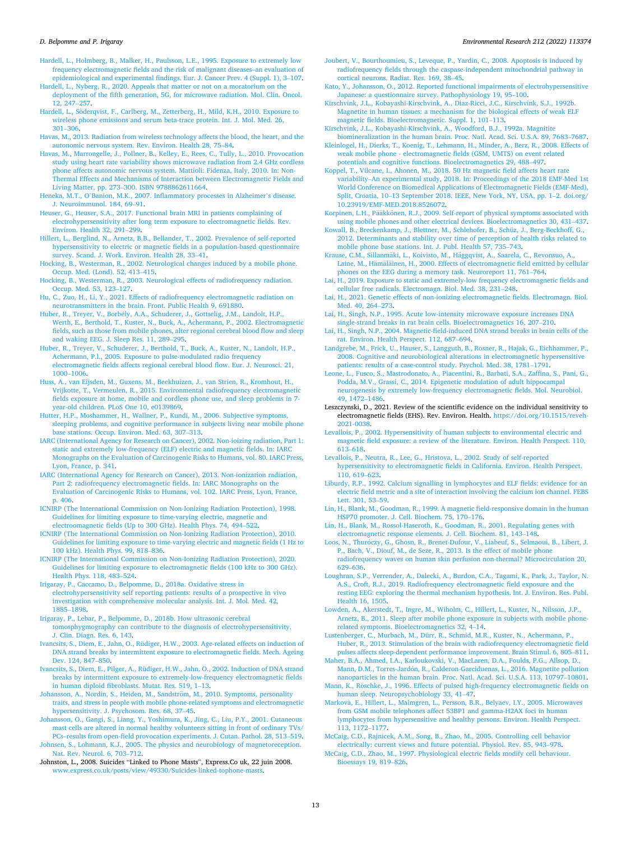<span id="page-12-0"></span>[Hardell, L., Holmberg, B., Malker, H., Paulsson, L.E., 1995. Exposure to extremely low](http://refhub.elsevier.com/S0013-9351(22)00701-0/sref89)  [frequency electromagnetic fields and the risk of malignant diseases–an evaluation of](http://refhub.elsevier.com/S0013-9351(22)00701-0/sref89)  [epidemiological and experimental findings. Eur. J. Cancer Prev. 4 \(Suppl. 1\), 3](http://refhub.elsevier.com/S0013-9351(22)00701-0/sref89)–107.

[Hardell, L., Nyberg, R., 2020. Appeals that matter or not on a moratorium on the](http://refhub.elsevier.com/S0013-9351(22)00701-0/sref90)  [deployment of the fifth generation, 5G, for microwave radiation. Mol. Clin. Oncol.](http://refhub.elsevier.com/S0013-9351(22)00701-0/sref90) [12, 247](http://refhub.elsevier.com/S0013-9351(22)00701-0/sref90)–257.

- Hardell, L., Söderqvist, [F., Carlberg, M., Zetterberg, H., Mild, K.H., 2010. Exposure to](http://refhub.elsevier.com/S0013-9351(22)00701-0/sref91) [wireless phone emissions and serum beta-trace protein. Int. J. Mol. Med. 26,](http://refhub.elsevier.com/S0013-9351(22)00701-0/sref91) 301–[306](http://refhub.elsevier.com/S0013-9351(22)00701-0/sref91).
- [Havas, M., 2013. Radiation from wireless technology affects the blood, the heart, and the](http://refhub.elsevier.com/S0013-9351(22)00701-0/sref92)  [autonomic nervous system. Rev. Environ. Health 28, 75](http://refhub.elsevier.com/S0013-9351(22)00701-0/sref92)–84.
- [Havas, M., Marrongelle, J., Pollner, B., Kelley, E., Rees, C., Tully, L., 2010. Provocation](http://refhub.elsevier.com/S0013-9351(22)00701-0/sref93)  [study using heart rate variability shows microwave radiation from 2.4 GHz cordless](http://refhub.elsevier.com/S0013-9351(22)00701-0/sref93)  [phone affects autonomic nervous system. Mattioli: Fidenza, Italy, 2010. In: Non-](http://refhub.elsevier.com/S0013-9351(22)00701-0/sref93)[Thermal Effects and Mechanisms of Interaction between Electromagnetic Fields and](http://refhub.elsevier.com/S0013-9351(22)00701-0/sref93)  Living Matter, pp. 273–[300. ISBN 9788862611664](http://refhub.elsevier.com/S0013-9351(22)00701-0/sref93).
- Heneka, M.T., O'[Banion, M.K., 2007. Inflammatory processes in Alzheimer](http://refhub.elsevier.com/S0013-9351(22)00701-0/sref94)'s disease. [J. Neuroimmunol. 184, 69](http://refhub.elsevier.com/S0013-9351(22)00701-0/sref94)–91.
- [Heuser, G., Heuser, S.A., 2017. Functional brain MRI in patients complaining of](http://refhub.elsevier.com/S0013-9351(22)00701-0/sref95) [electrohypersensitivity after long term exposure to electromagnetic fields. Rev.](http://refhub.elsevier.com/S0013-9351(22)00701-0/sref95)  [Environ. Health 32, 291](http://refhub.elsevier.com/S0013-9351(22)00701-0/sref95)–299.
- [Hillert, L., Berglind, N., Arnetz, B.B., Bellander, T., 2002. Prevalence of self-reported](http://refhub.elsevier.com/S0013-9351(22)00701-0/sref96) [hypersensitivity to electric or magnetic fields in a population-based questionnaire](http://refhub.elsevier.com/S0013-9351(22)00701-0/sref96)  [survey. Scand. J. Work. Environ. Health 28, 33](http://refhub.elsevier.com/S0013-9351(22)00701-0/sref96)–41.
- [Hocking, B., Westerman, R., 2002. Neurological changes induced by a mobile phone.](http://refhub.elsevier.com/S0013-9351(22)00701-0/sref97)  [Occup. Med. \(Lond\). 52, 413](http://refhub.elsevier.com/S0013-9351(22)00701-0/sref97)–415.
- [Hocking, B., Westerman, R., 2003. Neurological effects of radiofrequency radiation.](http://refhub.elsevier.com/S0013-9351(22)00701-0/sref98)  [Occup. Med. 53, 123](http://refhub.elsevier.com/S0013-9351(22)00701-0/sref98)–127.
- [Hu, C., Zuo, H., Li, Y., 2021. Effects of radiofrequency electromagnetic radiation on](http://refhub.elsevier.com/S0013-9351(22)00701-0/sref99) [neurotransmitters in the brain. Front. Public Health 9, 691880](http://refhub.elsevier.com/S0013-9351(22)00701-0/sref99).
- Huber, R., Treyer, V., Borbély, A.A., Schuderer, J., Gottselig, J.M., Landolt, H.P., [Werth, E., Berthold, T., Kuster, N., Buck, A., Achermann, P., 2002. Electromagnetic](http://refhub.elsevier.com/S0013-9351(22)00701-0/sref100)  [fields, such as those from mobile phones, alter regional cerebral blood flow and sleep](http://refhub.elsevier.com/S0013-9351(22)00701-0/sref100)  [and waking EEG. J. Sleep Res. 11, 289](http://refhub.elsevier.com/S0013-9351(22)00701-0/sref100)–295.
- [Huber, R., Treyer, V., Schuderer, J., Berthold, T., Buck, A., Kuster, N., Landolt, H.P.,](http://refhub.elsevier.com/S0013-9351(22)00701-0/sref101)  [Achermann, P.l., 2005. Exposure to pulse-modulated radio frequency](http://refhub.elsevier.com/S0013-9351(22)00701-0/sref101)  [electromagnetic fields affects regional cerebral blood flow. Eur. J. Neurosci. 21,](http://refhub.elsevier.com/S0013-9351(22)00701-0/sref101) [1000](http://refhub.elsevier.com/S0013-9351(22)00701-0/sref101)–1006.
- [Huss, A., van Eijsden, M., Guxens, M., Beekhuizen, J., van Strien, R., Kromhout, H.,](http://refhub.elsevier.com/S0013-9351(22)00701-0/sref102) [Vrijkotte, T., Vermeulen, R., 2015. Environmental radiofrequency electromagnetic](http://refhub.elsevier.com/S0013-9351(22)00701-0/sref102) [fields exposure at home, mobile and cordless phone use, and sleep problems in 7](http://refhub.elsevier.com/S0013-9351(22)00701-0/sref102) [year-old children. PLoS One 10, e0139869](http://refhub.elsevier.com/S0013-9351(22)00701-0/sref102).
- [Hutter, H.P., Moshammer, H., Wallner, P., Kundi, M., 2006. Subjective symptoms,](http://refhub.elsevier.com/S0013-9351(22)00701-0/sref103) [sleeping problems, and cognitive performance in subjects living near mobile phone](http://refhub.elsevier.com/S0013-9351(22)00701-0/sref103)  [base stations. Occup. Environ. Med. 63, 307](http://refhub.elsevier.com/S0013-9351(22)00701-0/sref103)–313.
- [IARC \(International Agency for Research on Cancer\), 2002. Non-ioizing radiation, Part 1:](http://refhub.elsevier.com/S0013-9351(22)00701-0/sref104)  [static and extremely low-frequency \(ELF\) electric and magnetic fields. In: IARC](http://refhub.elsevier.com/S0013-9351(22)00701-0/sref104)  [Monographs on the Evaluation of Carcinogenic Risks to Humans, vol. 80. IARC Press,](http://refhub.elsevier.com/S0013-9351(22)00701-0/sref104)  [Lyon, France, p. 341](http://refhub.elsevier.com/S0013-9351(22)00701-0/sref104).
- [IARC \(International Agency for Research on Cancer\), 2013. Non-ionization radiation,](http://refhub.elsevier.com/S0013-9351(22)00701-0/sref105)  [Part 2: radiofrequency electromagnetic fields. In: IARC Monographs on the](http://refhub.elsevier.com/S0013-9351(22)00701-0/sref105) [Evaluation of Carcinogenic Risks to Humans, vol. 102. IARC Press, Lyon, France,](http://refhub.elsevier.com/S0013-9351(22)00701-0/sref105)  [p. 406.](http://refhub.elsevier.com/S0013-9351(22)00701-0/sref105)
- [ICNIRP \(The International Commission on Non-Ionizing Radiation Protection\), 1998.](http://refhub.elsevier.com/S0013-9351(22)00701-0/sref106)  [Guidelines for limiting exposure to time-varying electric, magnetic and](http://refhub.elsevier.com/S0013-9351(22)00701-0/sref106) [electroomagnetic fields \(Up to 300 GHz\). Health Phys. 74, 494](http://refhub.elsevier.com/S0013-9351(22)00701-0/sref106)–522.
- [ICNIRP \(The International Commission on Non-Ionizing Radiation Protection\), 2010.](http://refhub.elsevier.com/S0013-9351(22)00701-0/sref107)  [Guidelines for limiting exposure to time-varying electric and magnetic fields \(1 Hz to](http://refhub.elsevier.com/S0013-9351(22)00701-0/sref107)  [100 kHz\). Health Phys. 99, 818](http://refhub.elsevier.com/S0013-9351(22)00701-0/sref107)–836.
- [ICNIRP \(The International Commission on Non-Ionizing Radiation Protection\), 2020.](http://refhub.elsevier.com/S0013-9351(22)00701-0/sref108)  [Guidelines for limiting exposure to electromagnetic fields \(100 kHz to 300 GHz\).](http://refhub.elsevier.com/S0013-9351(22)00701-0/sref108) [Health Phys. 118, 483](http://refhub.elsevier.com/S0013-9351(22)00701-0/sref108)–524.
- [Irigaray, P., Caccamo, D., Belpomme, D., 2018a. Oxidative stress in](http://refhub.elsevier.com/S0013-9351(22)00701-0/sref109) [electrohypersensitivity self reporting patients: results of a prospective in vivo](http://refhub.elsevier.com/S0013-9351(22)00701-0/sref109) [investigation with comprehensive molecular analysis. Int. J. Mol. Med. 42,](http://refhub.elsevier.com/S0013-9351(22)00701-0/sref109)  [1885](http://refhub.elsevier.com/S0013-9351(22)00701-0/sref109)–1898.
- [Irigaray, P., Lebar, P., Belpomme, D., 2018b. How ultrasonic cerebral](http://refhub.elsevier.com/S0013-9351(22)00701-0/sref110) [tomosphygmography can contribute to the diagnosis of electrohypersensitivity.](http://refhub.elsevier.com/S0013-9351(22)00701-0/sref110) [J. Clin. Diagn. Res. 6, 143](http://refhub.elsevier.com/S0013-9351(22)00701-0/sref110).
- [Ivancsits, S., Diem, E., Jahn, O., Rüdiger, H.W., 2003. Age-related effects on induction of](http://refhub.elsevier.com/S0013-9351(22)00701-0/sref111)  [DNA strand breaks by intermittent exposure to electromagnetic fields. Mech. Ageing](http://refhub.elsevier.com/S0013-9351(22)00701-0/sref111)  [Dev. 124, 847](http://refhub.elsevier.com/S0013-9351(22)00701-0/sref111)–850.
- [Ivancsits, S., Diem, E., Pilger, A., Rüdiger, H.W., Jahn, O., 2002. Induction of DNA strand](http://refhub.elsevier.com/S0013-9351(22)00701-0/sref112)  [breaks by intermittent exposure to extremely-low-frequency electromagnetic fields](http://refhub.elsevier.com/S0013-9351(22)00701-0/sref112) [in human diploid fibroblasts. Mutat. Res. 519, 1](http://refhub.elsevier.com/S0013-9351(22)00701-0/sref112)–13.
- Johansson, A., Nordin, S., Heiden, M., Sandström, M., 2010. Symptoms, personality [traits, and stress in people with mobile phone-related symptoms and electromagnetic](http://refhub.elsevier.com/S0013-9351(22)00701-0/sref113)  [hypersensitivity. J. Psychosom. Res. 68, 37](http://refhub.elsevier.com/S0013-9351(22)00701-0/sref113)–45.
- [Johansson, O., Gangi, S., Liang, Y., Yoshimura, K., Jing, C., Liu, P.Y., 2001. Cutaneous](http://refhub.elsevier.com/S0013-9351(22)00701-0/sref114) [mast cells are altered in normal healthy volunteers sitting in front of ordinary TVs/](http://refhub.elsevier.com/S0013-9351(22)00701-0/sref114)  [PCs–results from open-field provocation experiments. J. Cutan. Pathol. 28, 513](http://refhub.elsevier.com/S0013-9351(22)00701-0/sref114)–519. [Johnsen, S., Lohmann, K.J., 2005. The physics and neurobiology of magnetoreception.](http://refhub.elsevier.com/S0013-9351(22)00701-0/sref115)  [Nat. Rev. Neurol. 6, 703](http://refhub.elsevier.com/S0013-9351(22)00701-0/sref115)–712.
- Johnston, L., 2008. Suicides "Linked to Phone Masts", Express.Co uk, 22 juin 2008. [www.express.co.uk/posts/view/49330/Suicides-linked-tophone-masts.](http://www.express.co.uk/posts/view/49330/Suicides-linked-tophone-masts)
- [Joubert, V., Bourthoumieu, S., Leveque, P., Yardin, C., 2008. Apoptosis is induced by](http://refhub.elsevier.com/S0013-9351(22)00701-0/sref117) [radiofrequency fields through the caspase-independent mitochondrial pathway in](http://refhub.elsevier.com/S0013-9351(22)00701-0/sref117)  [cortical neurons. Radiat. Res. 169, 38](http://refhub.elsevier.com/S0013-9351(22)00701-0/sref117)–45.
- [Kato, Y., Johansson, O., 2012. Reported functional impairments of electrohypersensitive](http://refhub.elsevier.com/S0013-9351(22)00701-0/sref118)  [Japanese: a questionnaire survey. Pathophysiology 19, 95](http://refhub.elsevier.com/S0013-9351(22)00701-0/sref118)–100.
- [Kirschvink, J.L., Kobayashi-Kirschvink, A., Diaz-Ricci, J.C., Kirschvink, S.J., 1992b.](http://refhub.elsevier.com/S0013-9351(22)00701-0/sref119)  [Magnetite in human tissues: a mechanism for the biological effects of weak ELF](http://refhub.elsevier.com/S0013-9351(22)00701-0/sref119)  [magnetic fields. Bioelectromagnetic. Suppl. 1, 101](http://refhub.elsevier.com/S0013-9351(22)00701-0/sref119)–113.
- [Kirschvink, J.L., Kobayashi-Kirschvink, A., Woodford, B.J., 1992a. Magnitite](http://refhub.elsevier.com/S0013-9351(22)00701-0/sref120)  [biomineralization in the human brain. Proc. Natl. Acad. Sci. U.S.A. 89, 7683](http://refhub.elsevier.com/S0013-9351(22)00701-0/sref120)–7687.
- [Kleinlogel, H., Dierks, T., Koenig, T., Lehmann, H., Minder, A., Berz, R., 2008. Effects of](http://refhub.elsevier.com/S0013-9351(22)00701-0/sref121)  [weak mobile phone - electromagnetic fields \(GSM, UMTS\) on event related](http://refhub.elsevier.com/S0013-9351(22)00701-0/sref121)  [potentials and cognitive functions. Bioelectromagnetics 29, 488](http://refhub.elsevier.com/S0013-9351(22)00701-0/sref121)–497.
- [Koppel, T., Vilcane, I., Ahonen, M., 2018. 50 Hz magnetic field affects heart rate](http://refhub.elsevier.com/S0013-9351(22)00701-0/sref122)  variability–[An experimental study, 2018. In: Proceedings of the 2018 EMF-Med 1st](http://refhub.elsevier.com/S0013-9351(22)00701-0/sref122)  [World Conference on Biomedical Applications of Electromagnetic Fields \(EMF-Med\),](http://refhub.elsevier.com/S0013-9351(22)00701-0/sref122)  Split, Croatia, 10–[13 September 2018. IEEE, New York, NY, USA, pp. 1](http://refhub.elsevier.com/S0013-9351(22)00701-0/sref122)–2. doi.org/ [10.23919/EMF-MED.2018.8526072](http://refhub.elsevier.com/S0013-9351(22)00701-0/sref122).
- Korpinen, L.H., Pääkkönen, R.J., 2009. Self-report of physical symptoms associated with [using mobile phones and other electrical devices. Bioelectromagnetics 30, 431](http://refhub.elsevier.com/S0013-9351(22)00701-0/sref123)–437.
- [Kowall, B., Breckenkamp, J., Blettner, M., Schlehofer, B., Schüz, J., Berg-Beckhoff, G.,](http://refhub.elsevier.com/S0013-9351(22)00701-0/sref124) [2012. Determinants and stability over time of perception of health risks related to](http://refhub.elsevier.com/S0013-9351(22)00701-0/sref124) [mobile phone base stations. Int. J. Publ. Health 57, 735](http://refhub.elsevier.com/S0013-9351(22)00701-0/sref124)–743.
- Krause, C.M., Sillanmäki, L., Koivisto, M., Häggqvist, A., Saarela, C., Revonsuo, A., Laine, M., Hämäläinen, H., 2000. Effects of electromagnetic field emitted by cellular [phones on the EEG during a memory task. Neuroreport 11, 761](http://refhub.elsevier.com/S0013-9351(22)00701-0/sref125)–764.
- [Lai, H., 2019. Exposure to static and extremely-low frequency electromagnetic fields and](http://refhub.elsevier.com/S0013-9351(22)00701-0/sref126)  [cellular free radicals. Electromagn. Biol. Med. 38, 231](http://refhub.elsevier.com/S0013-9351(22)00701-0/sref126)–248.
- [Lai, H., 2021. Genetic effects of non-ionizing electromagnetic fields. Electromagn. Biol.](http://refhub.elsevier.com/S0013-9351(22)00701-0/sref127) [Med. 40, 264](http://refhub.elsevier.com/S0013-9351(22)00701-0/sref127)–273.
- [Lai, H., Singh, N.P., 1995. Acute low-intensity microwave exposure increases DNA](http://refhub.elsevier.com/S0013-9351(22)00701-0/sref128)
- [single-strand breaks in rat brain cells. Bioelectromagnetics 16, 207](http://refhub.elsevier.com/S0013-9351(22)00701-0/sref128)–210. [Lai, H., Singh, N.P., 2004. Magnetic-field-induced DNA strand breaks in brain cells of the](http://refhub.elsevier.com/S0013-9351(22)00701-0/sref129)  [rat. Environ. Health Perspect. 112, 687](http://refhub.elsevier.com/S0013-9351(22)00701-0/sref129)–694.
- [Landgrebe, M., Frick, U., Hauser, S., Langguth, B., Rosner, R., Hajak, G., Eichhammer, P.,](http://refhub.elsevier.com/S0013-9351(22)00701-0/sref130)  [2008. Cognitive and neurobiological alterations in electromagnetic hypersensitive](http://refhub.elsevier.com/S0013-9351(22)00701-0/sref130) [patients: results of a case-control study. Psychol. Med. 38, 1781](http://refhub.elsevier.com/S0013-9351(22)00701-0/sref130)–1791.
- [Leone, L., Fusco, S., Mastrodonato, A., Piacentini, R., Barbati, S.A., Zaffina, S., Pani, G.,](http://refhub.elsevier.com/S0013-9351(22)00701-0/sref131)  [Podda, M.V., Grassi, C., 2014. Epigenetic modulation of adult hippocampal](http://refhub.elsevier.com/S0013-9351(22)00701-0/sref131) [neurogenesis by extremely low-frequency electromagnetic fields. Mol. Neurobiol.](http://refhub.elsevier.com/S0013-9351(22)00701-0/sref131)  [49, 1472](http://refhub.elsevier.com/S0013-9351(22)00701-0/sref131)–1486.
- Leszczynski, D., 2021. Review of the scientific evidence on the individual sensitivity to electromagnetic fields (EHS). Rev. Environ. Health. [https://doi.org/10.1515/reveh-](https://doi.org/10.1515/reveh-2021-0038)[2021-0038](https://doi.org/10.1515/reveh-2021-0038).
- [Levallois, P., 2002. Hypersensitivity of human subjects to environmental electric and](http://refhub.elsevier.com/S0013-9351(22)00701-0/sref133) [magnetic field exposure: a review of the literature. Environ. Health Perspect. 110,](http://refhub.elsevier.com/S0013-9351(22)00701-0/sref133) 613–[618](http://refhub.elsevier.com/S0013-9351(22)00701-0/sref133).
- [Levallois, P., Neutra, R., Lee, G., Hristova, L., 2002. Study of self-reported](http://refhub.elsevier.com/S0013-9351(22)00701-0/sref134) [hypersensitivity to electromagnetic fields in California. Environ. Health Perspect.](http://refhub.elsevier.com/S0013-9351(22)00701-0/sref134)  [110, 619](http://refhub.elsevier.com/S0013-9351(22)00701-0/sref134)–623.
- [Liburdy, R.P., 1992. Calcium signalling in lymphocytes and ELF fields: evidence for an](http://refhub.elsevier.com/S0013-9351(22)00701-0/sref135) [electric field metric and a site of interaction involving the calcium ion channel. FEBS](http://refhub.elsevier.com/S0013-9351(22)00701-0/sref135)  [Lett. 301, 53](http://refhub.elsevier.com/S0013-9351(22)00701-0/sref135)–59.
- [Lin, H., Blank, M., Goodman, R., 1999. A magnetic field-responsive domain in the human](http://refhub.elsevier.com/S0013-9351(22)00701-0/sref136)  [HSP70 promoter. J. Cell. Biochem. 75, 170](http://refhub.elsevier.com/S0013-9351(22)00701-0/sref136)–176.
- [Lin, H., Blank, M., Rossol-Haseroth, K., Goodman, R., 2001. Regulating genes with](http://refhub.elsevier.com/S0013-9351(22)00701-0/sref137)  [electromagnetic response elements. J. Cell. Biochem. 81, 143](http://refhub.elsevier.com/S0013-9351(22)00701-0/sref137)–148.
- Loos, N., Thuróczy, G., Ghosn, R., Brenet-Dufour, V., Liabeuf, S., Selmaoui, B., Libert, J. [P., Bach, V., Diouf, M., de Seze, R., 2013. Is the effect of mobile phone](http://refhub.elsevier.com/S0013-9351(22)00701-0/sref138)  [radiofrequency waves on human skin perfusion non-thermal? Microcirculation 20,](http://refhub.elsevier.com/S0013-9351(22)00701-0/sref138)  629–[636](http://refhub.elsevier.com/S0013-9351(22)00701-0/sref138).
- [Loughran, S.P., Verrender, A., Dalecki, A., Burdon, C.A., Tagami, K., Park, J., Taylor, N.](http://refhub.elsevier.com/S0013-9351(22)00701-0/sref139)  [A.S., Croft, R.J., 2019. Radiofrequency electromagnetic field exposure and the](http://refhub.elsevier.com/S0013-9351(22)00701-0/sref139)  [resting EEG: exploring the thermal mechanism hypothesis. Int. J. Environ. Res. Publ.](http://refhub.elsevier.com/S0013-9351(22)00701-0/sref139)  [Health 16, 1505.](http://refhub.elsevier.com/S0013-9351(22)00701-0/sref139)
- [Lowden, A., Akerstedt, T., Ingre, M., Wiholm, C., Hillert, L., Kuster, N., Nilsson, J.P.,](http://refhub.elsevier.com/S0013-9351(22)00701-0/sref140)  [Arnetz, B., 2011. Sleep after mobile phone exposure in subjects with mobile phone](http://refhub.elsevier.com/S0013-9351(22)00701-0/sref140)[related symptoms. Bioelectromagnetics 32, 4](http://refhub.elsevier.com/S0013-9351(22)00701-0/sref140)–14.

[Lustenberger, C., Murbach, M., Dürr, R., Schmid, M.R., Kuster, N., Achermann, P.,](http://refhub.elsevier.com/S0013-9351(22)00701-0/sref141)  [Huber, R., 2013. Stimulation of the brain with radiofrequency electromagnetic field](http://refhub.elsevier.com/S0013-9351(22)00701-0/sref141)  [pulses affects sleep-dependent performance improvement. Brain Stimul. 6, 805](http://refhub.elsevier.com/S0013-9351(22)00701-0/sref141)–811.

- [Maher, B.A., Ahmed, I.A., Karloukovski, V., MacLaren, D.A., Foulds, P.G., Allsop, D.,](http://refhub.elsevier.com/S0013-9351(22)00701-0/sref142) Mann, D.M., Torres-Jardón, R., Calderon-Garciduenas, L., 2016. Magnetite pollution [nanoparticles in the human brain. Proc. Natl. Acad. Sci. U.S.A. 113, 10797](http://refhub.elsevier.com/S0013-9351(22)00701-0/sref142)–10801.
- Mann, K., Röschke, J., 1996. Effects of pulsed high-frequency electromagnetic fields on [human sleep. Neuropsychobiology 33, 41](http://refhub.elsevier.com/S0013-9351(22)00701-0/sref143)–47.
- Markovà, E., Hillert, L., Malmgren, L., Persson, B.R., Belyaev, I.Y., 2005. Microwaves [from GSM mobile telephones affect 53BP1 and gamma-H2AX foci in human](http://refhub.elsevier.com/S0013-9351(22)00701-0/sref144)  [lymphocytes from hypersensitive and healthy persons. Environ. Health Perspect.](http://refhub.elsevier.com/S0013-9351(22)00701-0/sref144) [113, 1172](http://refhub.elsevier.com/S0013-9351(22)00701-0/sref144)–1177.
- [McCaig, C.D., Rajnicek, A.M., Song, B., Zhao, M., 2005. Controlling cell behavior](http://refhub.elsevier.com/S0013-9351(22)00701-0/sref145)  [electrically: current views and future potential. Physiol. Rev. 85, 943](http://refhub.elsevier.com/S0013-9351(22)00701-0/sref145)–978.

[McCaig, C.D., Zhao, M., 1997. Physiological electric fields modify cell behaviour.](http://refhub.elsevier.com/S0013-9351(22)00701-0/sref146)  [Bioessays 19, 819](http://refhub.elsevier.com/S0013-9351(22)00701-0/sref146)–826.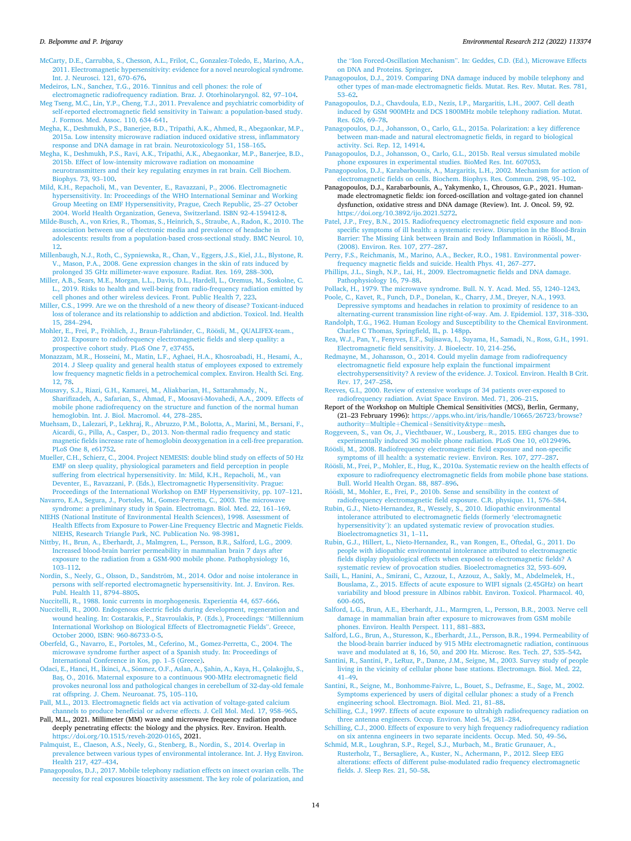<span id="page-13-0"></span>[McCarty, D.E., Carrubba, S., Chesson, A.L., Frilot, C., Gonzalez-Toledo, E., Marino, A.A.,](http://refhub.elsevier.com/S0013-9351(22)00701-0/sref147)  [2011. Electromagnetic hypersensitivity: evidence for a novel neurological syndrome.](http://refhub.elsevier.com/S0013-9351(22)00701-0/sref147)  [Int. J. Neurosci. 121, 670](http://refhub.elsevier.com/S0013-9351(22)00701-0/sref147)–676.

[Medeiros, L.N., Sanchez, T.G., 2016. Tinnitus and cell phones: the role of](http://refhub.elsevier.com/S0013-9351(22)00701-0/sref148)

- [electromagnetic radiofrequency radiation. Braz. J. Otorhinolaryngol. 82, 97](http://refhub.elsevier.com/S0013-9351(22)00701-0/sref148)–104. [Meg Tseng, M.C., Lin, Y.P., Cheng, T.J., 2011. Prevalence and psychiatric comorbidity of](http://refhub.elsevier.com/S0013-9351(22)00701-0/sref149)  [self-reported electromagnetic field sensitivity in Taiwan: a population-based study.](http://refhub.elsevier.com/S0013-9351(22)00701-0/sref149)  [J. Formos. Med. Assoc. 110, 634](http://refhub.elsevier.com/S0013-9351(22)00701-0/sref149)–641.
- [Megha, K., Deshmukh, P.S., Banerjee, B.D., Tripathi, A.K., Ahmed, R., Abegaonkar, M.P.,](http://refhub.elsevier.com/S0013-9351(22)00701-0/sref150)  [2015a. Low intensity microwave radiation induced oxidative stress, inflammatory](http://refhub.elsevier.com/S0013-9351(22)00701-0/sref150) [response and DNA damage in rat brain. Neurotoxicology 51, 158](http://refhub.elsevier.com/S0013-9351(22)00701-0/sref150)–165.
- [Megha, K., Deshmukh, P.S., Ravi, A.K., Tripathi, A.K., Abegaonkar, M.P., Banerjee, B.D.,](http://refhub.elsevier.com/S0013-9351(22)00701-0/sref151)  [2015b. Effect of low-intensity microwave radiation on monoamine](http://refhub.elsevier.com/S0013-9351(22)00701-0/sref151)  [neurotransmitters and their key regulating enzymes in rat brain. Cell Biochem.](http://refhub.elsevier.com/S0013-9351(22)00701-0/sref151)  [Biophys. 73, 93](http://refhub.elsevier.com/S0013-9351(22)00701-0/sref151)–100.
- [Mild, K.H., Repacholi, M., van Deventer, E., Ravazzani, P., 2006. Electromagnetic](http://refhub.elsevier.com/S0013-9351(22)00701-0/sref152) [hypersensitivity. In: Proceedings of the WHO International Seminar and Working](http://refhub.elsevier.com/S0013-9351(22)00701-0/sref152) [Group Meeting on EMF Hypersensitivity, Prague, Czech Republic, 25](http://refhub.elsevier.com/S0013-9351(22)00701-0/sref152)–27 October [2004. World Health Organization, Geneva, Switzerland. ISBN 92-4-159412-8.](http://refhub.elsevier.com/S0013-9351(22)00701-0/sref152)
- [Milde-Busch, A., von Kries, R., Thomas, S., Heinrich, S., Straube, A., Radon, K., 2010. The](http://refhub.elsevier.com/S0013-9351(22)00701-0/sref153)  [association between use of electronic media and prevalence of headache in](http://refhub.elsevier.com/S0013-9351(22)00701-0/sref153) [adolescents: results from a population-based cross-sectional study. BMC Neurol. 10,](http://refhub.elsevier.com/S0013-9351(22)00701-0/sref153)  [12.](http://refhub.elsevier.com/S0013-9351(22)00701-0/sref153)
- [Millenbaugh, N.J., Roth, C., Sypniewska, R., Chan, V., Eggers, J.S., Kiel, J.L., Blystone, R.](http://refhub.elsevier.com/S0013-9351(22)00701-0/sref154)  [V., Mason, P.A., 2008. Gene expression changes in the skin of rats induced by](http://refhub.elsevier.com/S0013-9351(22)00701-0/sref154)  [prolonged 35 GHz millimeter-wave exposure. Radiat. Res. 169, 288](http://refhub.elsevier.com/S0013-9351(22)00701-0/sref154)–300.
- [Miller, A.B., Sears, M.E., Morgan, L.L., Davis, D.L., Hardell, L., Oremus, M., Soskolne, C.](http://refhub.elsevier.com/S0013-9351(22)00701-0/sref155)  [L., 2019. Risks to health and well-being from radio-frequency radiation emitted by](http://refhub.elsevier.com/S0013-9351(22)00701-0/sref155) [cell phones and other wireless devices. Front. Public Health 7, 223.](http://refhub.elsevier.com/S0013-9351(22)00701-0/sref155)
- [Miller, C.S., 1999. Are we on the threshold of a new theory of disease? Toxicant-induced](http://refhub.elsevier.com/S0013-9351(22)00701-0/sref156)  [loss of tolerance and its relationship to addiction and abdiction. Toxicol. Ind. Health](http://refhub.elsevier.com/S0013-9351(22)00701-0/sref156)  [15, 284](http://refhub.elsevier.com/S0013-9351(22)00701-0/sref156)–294.
- Mohler, E., Frei, P., Fröhlich, J., Braun-Fahrländer, C., Röösli, M., QUALIFEX-team., [2012. Exposure to radiofrequency electromagnetic fields and sleep quality: a](http://refhub.elsevier.com/S0013-9351(22)00701-0/sref157)  [prospective cohort study. PLoS One 7, e37455.](http://refhub.elsevier.com/S0013-9351(22)00701-0/sref157)
- [Monazzam, M.R., Hosseini, M., Matin, L.F., Aghaei, H.A., Khosroabadi, H., Hesami, A.,](http://refhub.elsevier.com/S0013-9351(22)00701-0/sref158) [2014. J Sleep quality and general health status of employees exposed to extremely](http://refhub.elsevier.com/S0013-9351(22)00701-0/sref158)  [low frequency magnetic fields in a petrochemical complex. Environ. Health Sci. Eng.](http://refhub.elsevier.com/S0013-9351(22)00701-0/sref158)  [12, 78.](http://refhub.elsevier.com/S0013-9351(22)00701-0/sref158)
- [Mousavy, S.J., Riazi, G.H., Kamarei, M., Aliakbarian, H., Sattarahmady, N.,](http://refhub.elsevier.com/S0013-9351(22)00701-0/sref159)  [Sharifizadeh, A., Safarian, S., Ahmad, F., Moosavi-Movahedi, A.A., 2009. Effects of](http://refhub.elsevier.com/S0013-9351(22)00701-0/sref159) [mobile phone radiofrequency on the structure and function of the normal human](http://refhub.elsevier.com/S0013-9351(22)00701-0/sref159)  [hemoglobin. Int. J. Biol. Macromol. 44, 278](http://refhub.elsevier.com/S0013-9351(22)00701-0/sref159)–285.
- [Muehsam, D., Lalezari, P., Lekhraj, R., Abruzzo, P.M., Bolotta, A., Marini, M., Bersani, F.,](http://refhub.elsevier.com/S0013-9351(22)00701-0/sref160)  [Aicardi, G., Pilla, A., Casper, D., 2013. Non-thermal radio frequency and static](http://refhub.elsevier.com/S0013-9351(22)00701-0/sref160) [magnetic fields increase rate of hemoglobin deoxygenation in a cell-free preparation.](http://refhub.elsevier.com/S0013-9351(22)00701-0/sref160)  [PLoS One 8, e61752.](http://refhub.elsevier.com/S0013-9351(22)00701-0/sref160)
- [Mueller, C.H., Schierz, C., 2004. Project NEMESIS: double blind study on effects of 50 Hz](http://refhub.elsevier.com/S0013-9351(22)00701-0/sref161)  [EMF on sleep quality, physiological parameters and field perception in people](http://refhub.elsevier.com/S0013-9351(22)00701-0/sref161)  [suffering from electrical hypersensitivity. In: Mild, K.H., Repacholi, M., van](http://refhub.elsevier.com/S0013-9351(22)00701-0/sref161) [Deventer, E., Ravazzani, P. \(Eds.\), Electromagnetic Hypersensitivity. Prague:](http://refhub.elsevier.com/S0013-9351(22)00701-0/sref161)  [Proceedings of the International Workshop on EMF Hypersensitivity, pp. 107](http://refhub.elsevier.com/S0013-9351(22)00701-0/sref161)–121.
- [Navarro, E.A., Segura, J., Portoles, M., Gomez-Perretta, C., 2003. The microwave](http://refhub.elsevier.com/S0013-9351(22)00701-0/sref162) [syndrome: a preliminary study in Spain. Electromagn. Biol. Med. 22, 161](http://refhub.elsevier.com/S0013-9351(22)00701-0/sref162)–169.
- [NIEHS \(National Institute of Environmental Health Sciences\), 1998. Assessment of](http://refhub.elsevier.com/S0013-9351(22)00701-0/sref163)  [Health Effects from Exposure to Power-Line Frequency Electric and Magnetic Fields.](http://refhub.elsevier.com/S0013-9351(22)00701-0/sref163)  [NIEHS, Research Triangle Park, NC. Publication No. 98-3981.](http://refhub.elsevier.com/S0013-9351(22)00701-0/sref163)
- [Nittby, H., Brun, A., Eberhardt, J., Malmgren, L., Persson, B.R., Salford, L.G., 2009.](http://refhub.elsevier.com/S0013-9351(22)00701-0/sref164)  [Increased blood-brain barrier permeability in mammalian brain 7 days after](http://refhub.elsevier.com/S0013-9351(22)00701-0/sref164)  [exposure to the radiation from a GSM-900 mobile phone. Pathophysiology 16,](http://refhub.elsevier.com/S0013-9351(22)00701-0/sref164)  103–[112](http://refhub.elsevier.com/S0013-9351(22)00701-0/sref164).
- Nordin, S., Neely, G., Olsson, D., Sandström, M., 2014. Odor and noise intolerance in [persons with self-reported electromagnetic hypersensitivity. Int. J. Environ. Res.](http://refhub.elsevier.com/S0013-9351(22)00701-0/sref165) [Publ. Health 11, 8794](http://refhub.elsevier.com/S0013-9351(22)00701-0/sref165)–8805.

[Nuccitelli, R., 1988. Ionic currents in morphogenesis. Experientia 44, 657](http://refhub.elsevier.com/S0013-9351(22)00701-0/sref166)–666.

- [Nuccitelli, R., 2000. Endogenous electric fields during development, regeneration and](http://refhub.elsevier.com/S0013-9351(22)00701-0/sref167)  [wound healing. In: Costarakis, P., Stavroulakis, P. \(Eds.\), Proceedings:](http://refhub.elsevier.com/S0013-9351(22)00701-0/sref167) "Millennium [International Workshop on Biological Effects of Electromagnetic Fields](http://refhub.elsevier.com/S0013-9351(22)00701-0/sref167)". Greece, [October 2000, ISBN: 960-86733-0-5](http://refhub.elsevier.com/S0013-9351(22)00701-0/sref167).
- [Oberfeld, G., Navarro, E., Portoles, M., Ceferino, M., Gomez-Perretta, C., 2004. The](http://refhub.elsevier.com/S0013-9351(22)00701-0/sref168)  [microwave syndrome further aspect of a Spanish study. In: Proceedings of](http://refhub.elsevier.com/S0013-9351(22)00701-0/sref168) [International Conference in Kos, pp. 1](http://refhub.elsevier.com/S0013-9351(22)00701-0/sref168)–5 (Greece).
- Odaci, E., Hanci, H., İkinci, A., Sönmez, O.F., Aslan, A., Şahin, A., Kaya, H., Çolakoğlu, S., [Bas¸, O., 2016. Maternal exposure to a continuous 900-MHz electromagnetic field](http://refhub.elsevier.com/S0013-9351(22)00701-0/sref169)  [provokes neuronal loss and pathological changes in cerebellum of 32-day-old female](http://refhub.elsevier.com/S0013-9351(22)00701-0/sref169)  [rat offspring. J. Chem. Neuroanat. 75, 105](http://refhub.elsevier.com/S0013-9351(22)00701-0/sref169)–110.
- [Pall, M.L., 2013. Electromagnetic fields act via activation of voltage-gated calcium](http://refhub.elsevier.com/S0013-9351(22)00701-0/sref170) [channels to produce beneficial or adverse effects. J. Cell Mol. Med. 17, 958](http://refhub.elsevier.com/S0013-9351(22)00701-0/sref170)–965.
- Pall, M.L., 2021. Millimeter (MM) wave and microwave frequency radiation produce deeply penetrating effects: the biology and the physics. Rev. Environ. Health. [https://doi.org/10.1515/reveh-2020-0165,](https://doi.org/10.1515/reveh-2020-0165) 2021.
- [Palmquist, E., Claeson, A.S., Neely, G., Stenberg, B., Nordin, S., 2014. Overlap in](http://refhub.elsevier.com/S0013-9351(22)00701-0/sref172) [prevalence between various types of environmental intolerance. Int. J. Hyg Environ.](http://refhub.elsevier.com/S0013-9351(22)00701-0/sref172)  [Health 217, 427](http://refhub.elsevier.com/S0013-9351(22)00701-0/sref172)–434.
- [Panagopoulos, D.J., 2017. Mobile telephony radiation effects on insect ovarian cells. The](http://refhub.elsevier.com/S0013-9351(22)00701-0/sref173)  [necessity for real exposures bioactivity assessment. The key role of polarization, and](http://refhub.elsevier.com/S0013-9351(22)00701-0/sref173)

the "Ion Forced-Oscillation Mechanism"[. In: Geddes, C.D. \(Ed.\), Microwave Effects](http://refhub.elsevier.com/S0013-9351(22)00701-0/sref173) [on DNA and Proteins. Springer.](http://refhub.elsevier.com/S0013-9351(22)00701-0/sref173)

- [Panagopoulos, D.J., 2019. Comparing DNA damage induced by mobile telephony and](http://refhub.elsevier.com/S0013-9351(22)00701-0/sref174) [other types of man-made electromagnetic fields. Mutat. Res. Rev. Mutat. Res. 781,](http://refhub.elsevier.com/S0013-9351(22)00701-0/sref174) 53–[62](http://refhub.elsevier.com/S0013-9351(22)00701-0/sref174).
- [Panagopoulos, D.J., Chavdoula, E.D., Nezis, I.P., Margaritis, L.H., 2007. Cell death](http://refhub.elsevier.com/S0013-9351(22)00701-0/sref175) [induced by GSM 900MHz and DCS 1800MHz mobile telephony radiation. Mutat.](http://refhub.elsevier.com/S0013-9351(22)00701-0/sref175)  [Res. 626, 69](http://refhub.elsevier.com/S0013-9351(22)00701-0/sref175)–78.
- [Panagopoulos, D.J., Johansson, O., Carlo, G.L., 2015a. Polarization: a key difference](http://refhub.elsevier.com/S0013-9351(22)00701-0/sref176)  [between man-made and natural electromagnetic fields, in regard to biological](http://refhub.elsevier.com/S0013-9351(22)00701-0/sref176)  [activity. Sci. Rep. 12, 14914.](http://refhub.elsevier.com/S0013-9351(22)00701-0/sref176)
- [Panagopoulos, D.J., Johansson, O., Carlo, G.L., 2015b. Real versus simulated mobile](http://refhub.elsevier.com/S0013-9351(22)00701-0/sref177)  [phone exposures in experimental studies. BioMed Res. Int. 607053.](http://refhub.elsevier.com/S0013-9351(22)00701-0/sref177)
- [Panagopoulos, D.J., Karabarbounis, A., Margaritis, L.H., 2002. Mechanism for action of](http://refhub.elsevier.com/S0013-9351(22)00701-0/sref178)  [electromagnetic fields on cells. Biochem. Biophys. Res. Commun. 298, 95](http://refhub.elsevier.com/S0013-9351(22)00701-0/sref178)–102.
- Panagopoulos, D.J., Karabarbounis, A., Yakymenko, I., Chrousos, G.P., 2021. Humanmade electromagnetic fields: ion forced-oscillation and voltage-gated ion channel dysfunction, oxidative stress and DNA damage (Review). Int. J. Oncol. 59, 92. [https://doi.org/10.3892/ijo.2021.5272.](https://doi.org/10.3892/ijo.2021.5272)
- [Patel, J.P., Frey, B.N., 2015. Radiofrequency electromagnetic field exposure and non](http://refhub.elsevier.com/S0013-9351(22)00701-0/sref180)[specific symptoms of ill health: a systematic review. Disruption in the Blood-Brain](http://refhub.elsevier.com/S0013-9351(22)00701-0/sref180)  Barrier: The Missing Link between Brain and Body Inflammation in Röösli, M., [\(2008\). Environ. Res. 107, 277](http://refhub.elsevier.com/S0013-9351(22)00701-0/sref180)–287.
- [Perry, F.S., Reichmanis, M., Marino, A.A., Becker, R.O., 1981. Environmental power](http://refhub.elsevier.com/S0013-9351(22)00701-0/sref181)[frequency magnetic fields and suicide. Health Phys. 41, 267](http://refhub.elsevier.com/S0013-9351(22)00701-0/sref181)–277.
- [Phillips, J.L., Singh, N.P., Lai, H., 2009. Electromagnetic fields and DNA damage.](http://refhub.elsevier.com/S0013-9351(22)00701-0/sref182) [Pathophysiology 16, 79](http://refhub.elsevier.com/S0013-9351(22)00701-0/sref182)–88.
- [Pollack, H., 1979. The microwave syndrome. Bull. N. Y. Acad. Med. 55, 1240](http://refhub.elsevier.com/S0013-9351(22)00701-0/sref183)–1243. [Poole, C., Kavet, R., Funch, D.P., Donelan, K., Charry, J.M., Dreyer, N.A., 1993.](http://refhub.elsevier.com/S0013-9351(22)00701-0/sref184)
- [Depressive symptoms and headaches in relation to proximity of residence to an](http://refhub.elsevier.com/S0013-9351(22)00701-0/sref184)  [alternating-current transmission line right-of-way. Am. J. Epidemiol. 137, 318](http://refhub.elsevier.com/S0013-9351(22)00701-0/sref184)–330. [Randolph, T.G., 1962. Human Ecology and Susceptibility to the Chemical Environment.](http://refhub.elsevier.com/S0013-9351(22)00701-0/sref185)
- [Charles C Thomas, Springfield, IL, p. 148pp](http://refhub.elsevier.com/S0013-9351(22)00701-0/sref185). [Rea, W.J., Pan, Y., Fenyves, E.F., Sujisawa, I., Suyama, H., Samadi, N., Ross, G.H., 1991.](http://refhub.elsevier.com/S0013-9351(22)00701-0/sref186)  [Electromagnetic field sensitivity. J. Bioelectr. 10, 214](http://refhub.elsevier.com/S0013-9351(22)00701-0/sref186)–256.
- [Redmayne, M., Johansson, O., 2014. Could myelin damage from radiofrequency](http://refhub.elsevier.com/S0013-9351(22)00701-0/sref187)  [electromagnetic field exposure help explain the functional impairment](http://refhub.elsevier.com/S0013-9351(22)00701-0/sref187)  [electrohypersensitivity? A review of the evidence. J. Toxicol. Environ. Health B Crit.](http://refhub.elsevier.com/S0013-9351(22)00701-0/sref187)  [Rev. 17, 247](http://refhub.elsevier.com/S0013-9351(22)00701-0/sref187)–258.

[Reeves, G.I., 2000. Review of extensive workups of 34 patients over-exposed to](http://refhub.elsevier.com/S0013-9351(22)00701-0/sref188)  [radiofrequency radiation. Aviat Space Environ. Med. 71, 206](http://refhub.elsevier.com/S0013-9351(22)00701-0/sref188)–215.

- Report of the Workshop on Multiple Chemical Sensitivities (MCS), Berlin, Germany, (21–23 February 1996): [https://apps.who.int/iris/handle/10665/26723/browse?](https://apps.who.int/iris/handle/10665/26723/browse?authority=Multiple+Chemical+Sensitivity&type=mesh)  authority=Multiple+Chemical+[Sensitivity](https://apps.who.int/iris/handle/10665/26723/browse?authority=Multiple+Chemical+Sensitivity&type=mesh)&type=mesh.
- [Roggeveen, S., van Os, J., Viechtbauer, W., Lousberg, R., 2015. EEG changes due to](http://refhub.elsevier.com/S0013-9351(22)00701-0/sref190) [experimentally induced 3G mobile phone radiation. PLoS One 10, e0129496](http://refhub.elsevier.com/S0013-9351(22)00701-0/sref190).
- Röösli, M., 2008. Radiofrequency electromagnetic field exposure and non-specific [symptoms of ill health: a systematic review. Environ. Res. 107, 277](http://refhub.elsevier.com/S0013-9351(22)00701-0/sref191)–287.
- Röösli, M., Frei, P., Mohler, E., Hug, K., 2010a. Systematic review on the health effects of [exposure to radiofrequency electromagnetic fields from mobile phone base stations.](http://refhub.elsevier.com/S0013-9351(22)00701-0/sref192)  [Bull. World Health Organ. 88, 887](http://refhub.elsevier.com/S0013-9351(22)00701-0/sref192)–896.
- Röösli, [M., Mohler, E., Frei, P., 2010b. Sense and sensibility in the context of](http://refhub.elsevier.com/S0013-9351(22)00701-0/sref193) [radiofrequency electromagnetic field exposure. C.R. physique. 11, 576](http://refhub.elsevier.com/S0013-9351(22)00701-0/sref193)–584.
- [Rubin, G.J., Nieto-Hernandez, R., Wessely, S., 2010. Idiopathic environmental](http://refhub.elsevier.com/S0013-9351(22)00701-0/sref194)  [intolerance attributed to electromagnetic fields \(formerly 'electromagnetic](http://refhub.elsevier.com/S0013-9351(22)00701-0/sref194) hypersensitivity'[\): an updated systematic review of provocation studies.](http://refhub.elsevier.com/S0013-9351(22)00701-0/sref194)  [Bioelectromagnetics 31, 1](http://refhub.elsevier.com/S0013-9351(22)00701-0/sref194)–11.
- [Rubin, G.J., Hillert, L., Nieto-Hernandez, R., van Rongen, E., Oftedal, G., 2011. Do](http://refhub.elsevier.com/S0013-9351(22)00701-0/sref195) [people with idiopathic environmental intolerance attributed to electromagnetic](http://refhub.elsevier.com/S0013-9351(22)00701-0/sref195)  [fields display physiological effects when exposed to electromagnetic fields? A](http://refhub.elsevier.com/S0013-9351(22)00701-0/sref195)  [systematic review of provocation studies. Bioelectromagnetics 32, 593](http://refhub.elsevier.com/S0013-9351(22)00701-0/sref195)–609.
- [Saili, L., Hanini, A., Smirani, C., Azzouz, I., Azzouz, A., Sakly, M., Abdelmelek, H.,](http://refhub.elsevier.com/S0013-9351(22)00701-0/sref196)  [Bouslama, Z., 2015. Effects of acute exposure to WIFI signals \(2.45GHz\) on heart](http://refhub.elsevier.com/S0013-9351(22)00701-0/sref196)  [variability and blood pressure in Albinos rabbit. Environ. Toxicol. Pharmacol. 40,](http://refhub.elsevier.com/S0013-9351(22)00701-0/sref196)  600–[605](http://refhub.elsevier.com/S0013-9351(22)00701-0/sref196).
- [Salford, L.G., Brun, A.E., Eberhardt, J.L., Marmgren, L., Persson, B.R., 2003. Nerve cell](http://refhub.elsevier.com/S0013-9351(22)00701-0/sref197)  [damage in mammalian brain after exposure to microwaves from GSM mobile](http://refhub.elsevier.com/S0013-9351(22)00701-0/sref197) [phones. Environ. Health Perspect. 111, 881](http://refhub.elsevier.com/S0013-9351(22)00701-0/sref197)–883.
- [Salford, L.G., Brun, A., Sturesson, K., Eberhardt, J.L., Persson, B.R., 1994. Permeability of](http://refhub.elsevier.com/S0013-9351(22)00701-0/sref198)  [the blood-brain barrier induced by 915 MHz electromagnetic radiation, continuous](http://refhub.elsevier.com/S0013-9351(22)00701-0/sref198)  [wave and modulated at 8, 16, 50, and 200 Hz. Microsc. Res. Tech. 27, 535](http://refhub.elsevier.com/S0013-9351(22)00701-0/sref198)–542.
- [Santini, R., Santini, P., LeRuz, P., Danze, J.M., Seigne, M., 2003. Survey study of people](http://refhub.elsevier.com/S0013-9351(22)00701-0/sref199)  [living in the vicinity of cellular phone base stations. Electromagn. Biol. Med. 22,](http://refhub.elsevier.com/S0013-9351(22)00701-0/sref199) 41–[49](http://refhub.elsevier.com/S0013-9351(22)00701-0/sref199).
- [Santini, R., Seigne, M., Bonhomme-Faivre, L., Bouet, S., Defrasme, E., Sage, M., 2002.](http://refhub.elsevier.com/S0013-9351(22)00701-0/sref200)  [Symptoms experienced by users of digital cellular phones: a study of a French](http://refhub.elsevier.com/S0013-9351(22)00701-0/sref200)  [engineering school. Electromagn. Biol. Med. 21, 81](http://refhub.elsevier.com/S0013-9351(22)00701-0/sref200)–88.
- [Schilling, C.J., 1997. Effects of acute exposure to ultrahigh radiofrequency radiation on](http://refhub.elsevier.com/S0013-9351(22)00701-0/sref201)  [three antenna engineers. Occup. Environ. Med. 54, 281](http://refhub.elsevier.com/S0013-9351(22)00701-0/sref201)–284.
- [Schilling, C.J., 2000. Effects of exposure to very high frequency radiofrequency radiation](http://refhub.elsevier.com/S0013-9351(22)00701-0/sref202)  [on six antenna engineers in two separate incidents. Occup. Med. 50, 49](http://refhub.elsevier.com/S0013-9351(22)00701-0/sref202)–56.
- [Schmid, M.R., Loughran, S.P., Regel, S.J., Murbach, M., Bratic Grunauer, A.,](http://refhub.elsevier.com/S0013-9351(22)00701-0/sref203)  [Rusterholz, T., Bersagliere, A., Kuster, N., Achermann, P., 2012. Sleep EEG](http://refhub.elsevier.com/S0013-9351(22)00701-0/sref203) [alterations: effects of different pulse-modulated radio frequency electromagnetic](http://refhub.elsevier.com/S0013-9351(22)00701-0/sref203)  [fields. J. Sleep Res. 21, 50](http://refhub.elsevier.com/S0013-9351(22)00701-0/sref203)–58.